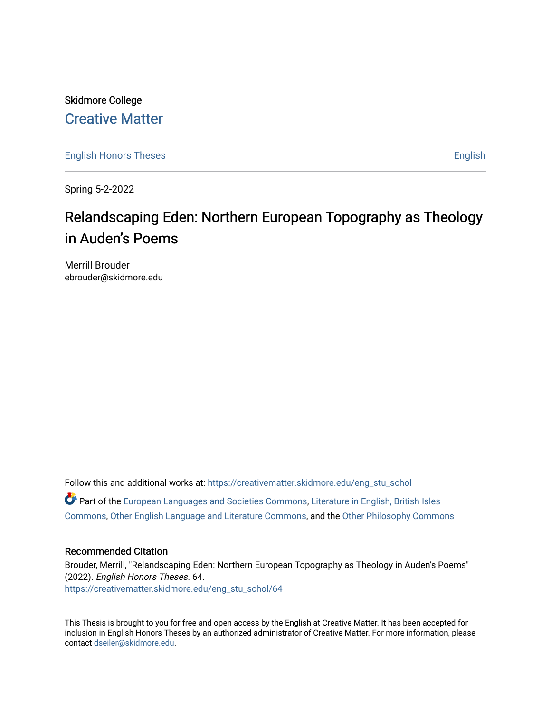## Skidmore College [Creative Matter](https://creativematter.skidmore.edu/)

[English Honors Theses](https://creativematter.skidmore.edu/eng_stu_schol) **English** English

Spring 5-2-2022

# Relandscaping Eden: Northern European Topography as Theology in Auden's Poems

Merrill Brouder ebrouder@skidmore.edu

Follow this and additional works at: [https://creativematter.skidmore.edu/eng\\_stu\\_schol](https://creativematter.skidmore.edu/eng_stu_schol?utm_source=creativematter.skidmore.edu%2Feng_stu_schol%2F64&utm_medium=PDF&utm_campaign=PDFCoverPages)  Part of the [European Languages and Societies Commons,](https://network.bepress.com/hgg/discipline/482?utm_source=creativematter.skidmore.edu%2Feng_stu_schol%2F64&utm_medium=PDF&utm_campaign=PDFCoverPages) [Literature in English, British Isles](https://network.bepress.com/hgg/discipline/456?utm_source=creativematter.skidmore.edu%2Feng_stu_schol%2F64&utm_medium=PDF&utm_campaign=PDFCoverPages)  [Commons](https://network.bepress.com/hgg/discipline/456?utm_source=creativematter.skidmore.edu%2Feng_stu_schol%2F64&utm_medium=PDF&utm_campaign=PDFCoverPages), [Other English Language and Literature Commons](https://network.bepress.com/hgg/discipline/462?utm_source=creativematter.skidmore.edu%2Feng_stu_schol%2F64&utm_medium=PDF&utm_campaign=PDFCoverPages), and the [Other Philosophy Commons](https://network.bepress.com/hgg/discipline/537?utm_source=creativematter.skidmore.edu%2Feng_stu_schol%2F64&utm_medium=PDF&utm_campaign=PDFCoverPages) 

#### Recommended Citation

Brouder, Merrill, "Relandscaping Eden: Northern European Topography as Theology in Auden's Poems" (2022). English Honors Theses. 64. [https://creativematter.skidmore.edu/eng\\_stu\\_schol/64](https://creativematter.skidmore.edu/eng_stu_schol/64?utm_source=creativematter.skidmore.edu%2Feng_stu_schol%2F64&utm_medium=PDF&utm_campaign=PDFCoverPages)

This Thesis is brought to you for free and open access by the English at Creative Matter. It has been accepted for inclusion in English Honors Theses by an authorized administrator of Creative Matter. For more information, please contact [dseiler@skidmore.edu.](mailto:dseiler@skidmore.edu)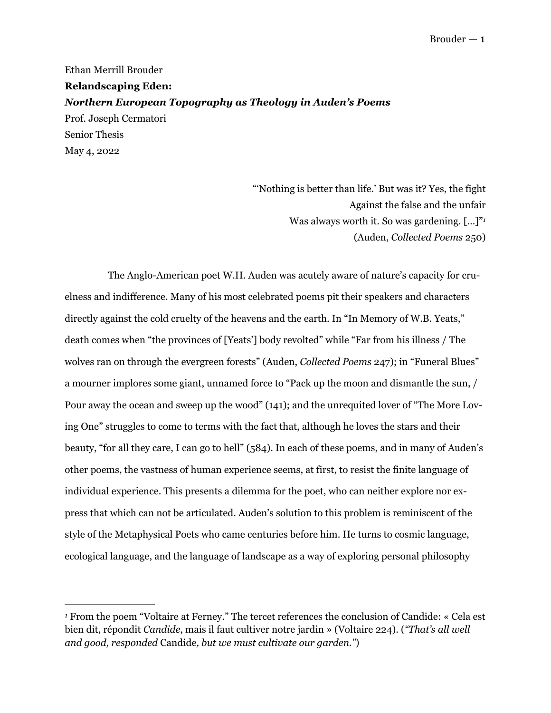Ethan Merrill Brouder **Relandscaping Eden:**  *Northern European Topography as Theology in Auden's Poems*  Prof. Joseph Cermatori Senior Thesis May 4, 2022

> <span id="page-1-1"></span>"'Nothing is better than life.' But was it? Yes, the fight Against the false and the unfair Was always worth it. So was gardening. [...]"<sup>1</sup> (Auden, *Collected Poems* 250)

The Anglo-American poet W.H. Auden was acutely aware of nature's capacity for cruelness and indifference. Many of his most celebrated poems pit their speakers and characters directly against the cold cruelty of the heavens and the earth. In "In Memory of W.B. Yeats," death comes when "the provinces of [Yeats'] body revolted" while "Far from his illness / The wolves ran on through the evergreen forests" (Auden, *Collected Poems* 247); in "Funeral Blues" a mourner implores some giant, unnamed force to "Pack up the moon and dismantle the sun, / Pour away the ocean and sweep up the wood" (141); and the unrequited lover of "The More Loving One" struggles to come to terms with the fact that, although he loves the stars and their beauty, "for all they care, I can go to hell" (584). In each of these poems, and in many of Auden's other poems, the vastness of human experience seems, at first, to resist the finite language of individual experience. This presents a dilemma for the poet, who can neither explore nor express that which can not be articulated. Auden's solution to this problem is reminiscent of the style of the Metaphysical Poets who came centuries before him. He turns to cosmic language, ecological language, and the language of landscape as a way of exploring personal philosophy

<span id="page-1-0"></span>From the poem "Voltaire at Ferney." The tercet references the conclusion of Candide: « Cela est *[1](#page-1-1)* bien dit, répondit *Candide*, mais il faut cultiver notre jardin » (Voltaire 224). (*"That's all well and good, responded* Candide*, but we must cultivate our garden."*)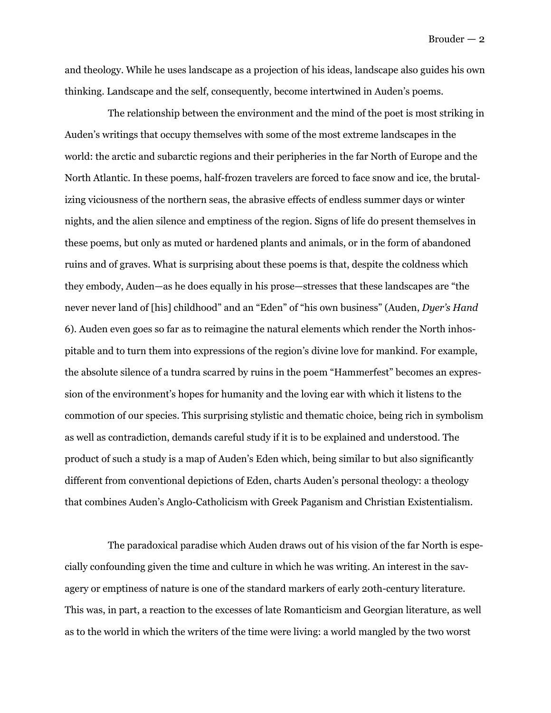and theology. While he uses landscape as a projection of his ideas, landscape also guides his own thinking. Landscape and the self, consequently, become intertwined in Auden's poems.

The relationship between the environment and the mind of the poet is most striking in Auden's writings that occupy themselves with some of the most extreme landscapes in the world: the arctic and subarctic regions and their peripheries in the far North of Europe and the North Atlantic. In these poems, half-frozen travelers are forced to face snow and ice, the brutalizing viciousness of the northern seas, the abrasive effects of endless summer days or winter nights, and the alien silence and emptiness of the region. Signs of life do present themselves in these poems, but only as muted or hardened plants and animals, or in the form of abandoned ruins and of graves. What is surprising about these poems is that, despite the coldness which they embody, Auden—as he does equally in his prose—stresses that these landscapes are "the never never land of [his] childhood" and an "Eden" of "his own business" (Auden, *Dyer's Hand*  6). Auden even goes so far as to reimagine the natural elements which render the North inhospitable and to turn them into expressions of the region's divine love for mankind. For example, the absolute silence of a tundra scarred by ruins in the poem "Hammerfest" becomes an expression of the environment's hopes for humanity and the loving ear with which it listens to the commotion of our species. This surprising stylistic and thematic choice, being rich in symbolism as well as contradiction, demands careful study if it is to be explained and understood. The product of such a study is a map of Auden's Eden which, being similar to but also significantly different from conventional depictions of Eden, charts Auden's personal theology: a theology that combines Auden's Anglo-Catholicism with Greek Paganism and Christian Existentialism.

The paradoxical paradise which Auden draws out of his vision of the far North is especially confounding given the time and culture in which he was writing. An interest in the savagery or emptiness of nature is one of the standard markers of early 20th-century literature. This was, in part, a reaction to the excesses of late Romanticism and Georgian literature, as well as to the world in which the writers of the time were living: a world mangled by the two worst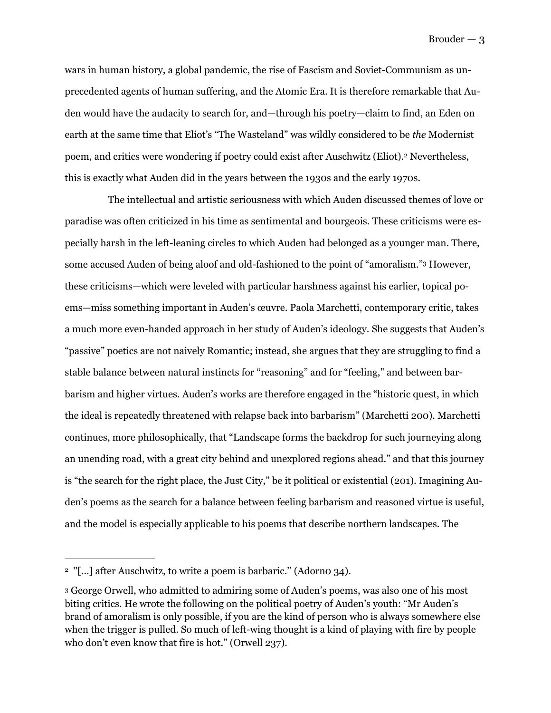wars in human history, a global pandemic, the rise of Fascism and Soviet-Communism as unprecedented agents of human suffering, and the Atomic Era. It is therefore remarkable that Auden would have the audacity to search for, and—through his poetry—claim to find, an Eden on earth at the same time that Eliot's "The Wasteland" was wildly considered to be *the* Modernist poem, and critics were wondering if poetry could exist after Auschwitz (Eliot).<sup>[2](#page-3-0)</sup> Nevertheless, this is exactly what Auden did in the years between the 1930s and the early 1970s.

<span id="page-3-3"></span><span id="page-3-2"></span>The intellectual and artistic seriousness with which Auden discussed themes of love or paradise was often criticized in his time as sentimental and bourgeois. These criticisms were especially harsh in the left-leaning circles to which Auden had belonged as a younger man. There, some accused Auden of being aloof and old-fashioned to the point of "amoralism." However, these criticisms—which were leveled with particular harshness against his earlier, topical poems—miss something important in Auden's œuvre. Paola Marchetti, contemporary critic, takes a much more even-handed approach in her study of Auden's ideology. She suggests that Auden's "passive" poetics are not naively Romantic; instead, she argues that they are struggling to find a stable balance between natural instincts for "reasoning" and for "feeling," and between barbarism and higher virtues. Auden's works are therefore engaged in the "historic quest, in which the ideal is repeatedly threatened with relapse back into barbarism" (Marchetti 200). Marchetti continues, more philosophically, that "Landscape forms the backdrop for such journeying along an unending road, with a great city behind and unexplored regions ahead." and that this journey is "the search for the right place, the Just City," be it political or existential (201). Imagining Auden's poems as the search for a balance between feeling barbarism and reasoned virtue is useful, and the model is especially applicable to his poems that describe northern landscapes. The

<span id="page-3-0"></span><sup>&</sup>lt;sup>[2](#page-3-2)</sup> "[...] after Auschwitz, to write a poem is barbaric." (Adorno 34).

<span id="page-3-1"></span><sup>&</sup>lt;sup>[3](#page-3-3)</sup> George Orwell, who admitted to admiring some of Auden's poems, was also one of his most biting critics. He wrote the following on the political poetry of Auden's youth: "Mr Auden's brand of amoralism is only possible, if you are the kind of person who is always somewhere else when the trigger is pulled. So much of left-wing thought is a kind of playing with fire by people who don't even know that fire is hot." (Orwell 237).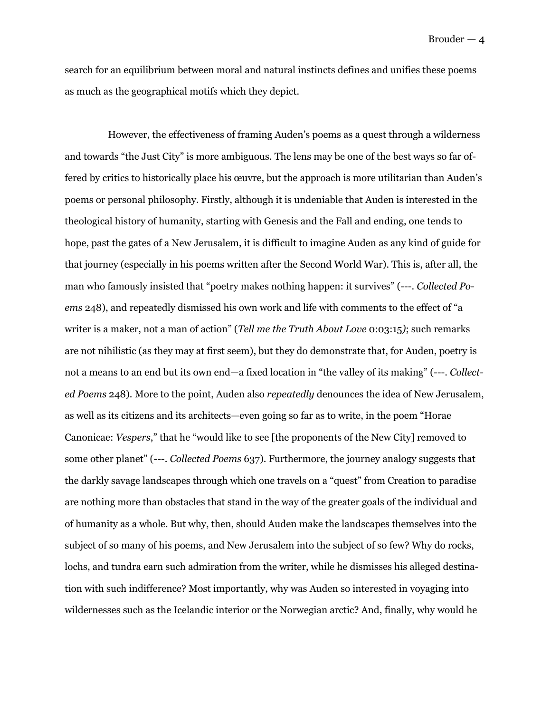search for an equilibrium between moral and natural instincts defines and unifies these poems as much as the geographical motifs which they depict.

However, the effectiveness of framing Auden's poems as a quest through a wilderness and towards "the Just City" is more ambiguous. The lens may be one of the best ways so far offered by critics to historically place his œuvre, but the approach is more utilitarian than Auden's poems or personal philosophy. Firstly, although it is undeniable that Auden is interested in the theological history of humanity, starting with Genesis and the Fall and ending, one tends to hope, past the gates of a New Jerusalem, it is difficult to imagine Auden as any kind of guide for that journey (especially in his poems written after the Second World War). This is, after all, the man who famously insisted that "poetry makes nothing happen: it survives" (---. *Collected Poems* 248), and repeatedly dismissed his own work and life with comments to the effect of "a writer is a maker, not a man of action" (*Tell me the Truth About Love* 0:03:15*)*; such remarks are not nihilistic (as they may at first seem), but they do demonstrate that, for Auden, poetry is not a means to an end but its own end—a fixed location in "the valley of its making" (---. *Collected Poems* 248). More to the point, Auden also *repeatedly* denounces the idea of New Jerusalem, as well as its citizens and its architects—even going so far as to write, in the poem "Horae Canonicae: *Vespers*," that he "would like to see [the proponents of the New City] removed to some other planet" (---. *Collected Poems* 637). Furthermore, the journey analogy suggests that the darkly savage landscapes through which one travels on a "quest" from Creation to paradise are nothing more than obstacles that stand in the way of the greater goals of the individual and of humanity as a whole. But why, then, should Auden make the landscapes themselves into the subject of so many of his poems, and New Jerusalem into the subject of so few? Why do rocks, lochs, and tundra earn such admiration from the writer, while he dismisses his alleged destination with such indifference? Most importantly, why was Auden so interested in voyaging into wildernesses such as the Icelandic interior or the Norwegian arctic? And, finally, why would he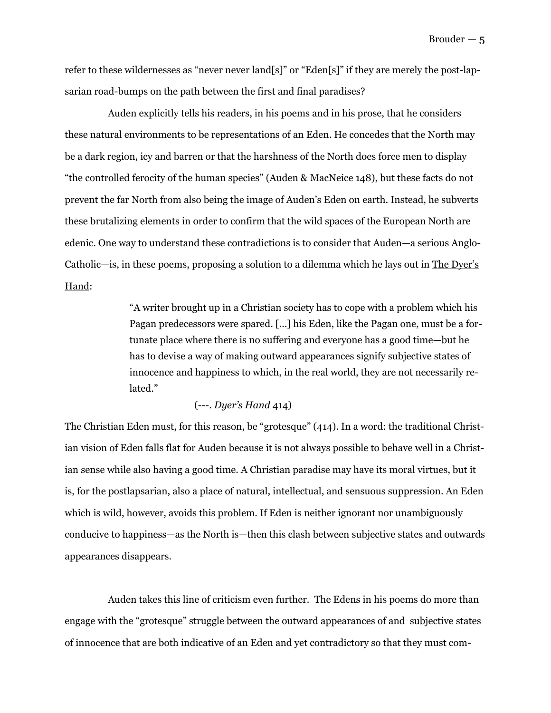refer to these wildernesses as "never never land[s]" or "Eden[s]" if they are merely the post-lapsarian road-bumps on the path between the first and final paradises?

Auden explicitly tells his readers, in his poems and in his prose, that he considers these natural environments to be representations of an Eden. He concedes that the North may be a dark region, icy and barren or that the harshness of the North does force men to display "the controlled ferocity of the human species" (Auden & MacNeice 148), but these facts do not prevent the far North from also being the image of Auden's Eden on earth. Instead, he subverts these brutalizing elements in order to confirm that the wild spaces of the European North are edenic. One way to understand these contradictions is to consider that Auden—a serious Anglo-Catholic—is, in these poems, proposing a solution to a dilemma which he lays out in The Dyer's Hand:

> "A writer brought up in a Christian society has to cope with a problem which his Pagan predecessors were spared. [...] his Eden, like the Pagan one, must be a fortunate place where there is no suffering and everyone has a good time—but he has to devise a way of making outward appearances signify subjective states of innocence and happiness to which, in the real world, they are not necessarily related."

#### (---. *Dyer's Hand* 414)

The Christian Eden must, for this reason, be "grotesque" (414). In a word: the traditional Christian vision of Eden falls flat for Auden because it is not always possible to behave well in a Christian sense while also having a good time. A Christian paradise may have its moral virtues, but it is, for the postlapsarian, also a place of natural, intellectual, and sensuous suppression. An Eden which is wild, however, avoids this problem. If Eden is neither ignorant nor unambiguously conducive to happiness—as the North is—then this clash between subjective states and outwards appearances disappears.

Auden takes this line of criticism even further. The Edens in his poems do more than engage with the "grotesque" struggle between the outward appearances of and subjective states of innocence that are both indicative of an Eden and yet contradictory so that they must com-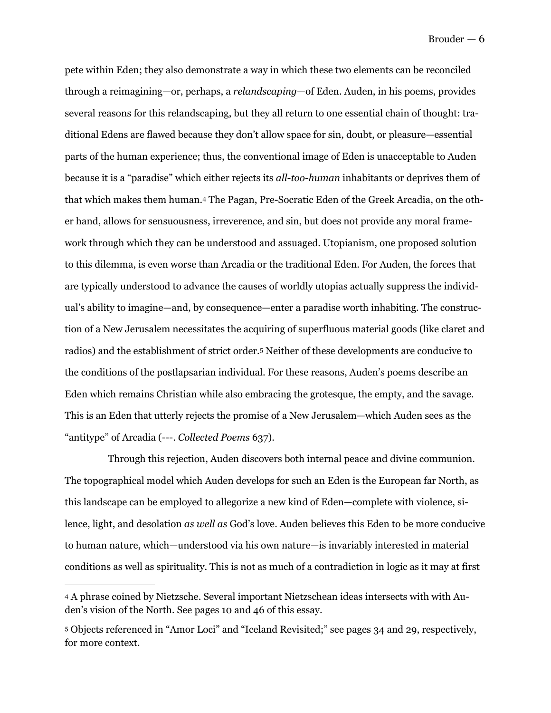<span id="page-6-2"></span>pete within Eden; they also demonstrate a way in which these two elements can be reconciled through a reimagining—or, perhaps, a *relandscaping*—of Eden. Auden, in his poems, provides several reasons for this relandscaping, but they all return to one essential chain of thought: traditional Edens are flawed because they don't allow space for sin, doubt, or pleasure—essential parts of the human experience; thus, the conventional image of Eden is unacceptable to Auden because it is a "paradise" which either rejects its *all-too-human* inhabitants or deprives them of that which makes them human[.4](#page-6-0) The Pagan, Pre-Socratic Eden of the Greek Arcadia, on the other hand, allows for sensuousness, irreverence, and sin, but does not provide any moral framework through which they can be understood and assuaged. Utopianism, one proposed solution to this dilemma, is even worse than Arcadia or the traditional Eden. For Auden, the forces that are typically understood to advance the causes of worldly utopias actually suppress the individual's ability to imagine—and, by consequence—enter a paradise worth inhabiting. The construction of a New Jerusalem necessitates the acquiring of superfluous material goods (like claret and radios)and the establishment of strict order.<sup>[5](#page-6-1)</sup> Neither of these developments are conducive to the conditions of the postlapsarian individual. For these reasons, Auden's poems describe an Eden which remains Christian while also embracing the grotesque, the empty, and the savage. This is an Eden that utterly rejects the promise of a New Jerusalem—which Auden sees as the "antitype" of Arcadia (---. *Collected Poems* 637).

<span id="page-6-3"></span>Through this rejection, Auden discovers both internal peace and divine communion. The topographical model which Auden develops for such an Eden is the European far North, as this landscape can be employed to allegorize a new kind of Eden—complete with violence, silence, light, and desolation *as well as* God's love. Auden believes this Eden to be more conducive to human nature, which—understood via his own nature—is invariably interested in material conditions as well as spirituality. This is not as much of a contradiction in logic as it may at first

<span id="page-6-0"></span>[<sup>4</sup>](#page-6-2) A phrase coined by Nietzsche. Several important Nietzschean ideas intersects with with Auden's vision of the North. See pages 10 and 46 of this essay.

<span id="page-6-1"></span>Objects referenced in "Amor Loci" and "Iceland Revisited;" see pages 34 and 29, respectively, [5](#page-6-3) for more context.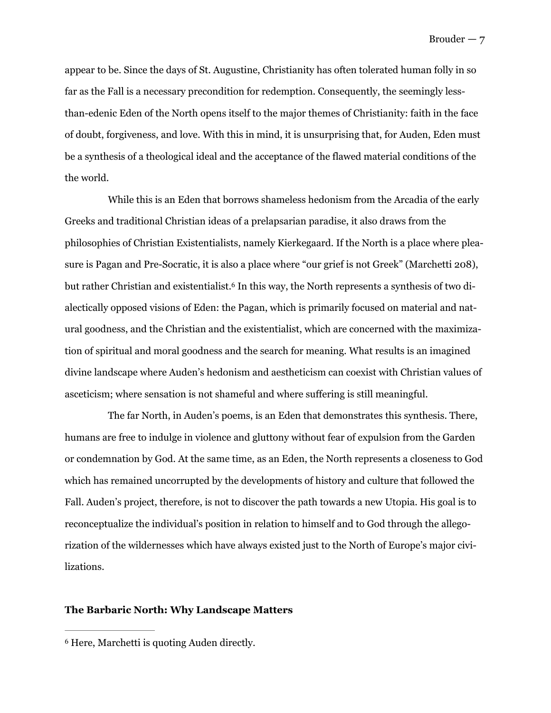appear to be. Since the days of St. Augustine, Christianity has often tolerated human folly in so far as the Fall is a necessary precondition for redemption. Consequently, the seemingly lessthan-edenic Eden of the North opens itself to the major themes of Christianity: faith in the face of doubt, forgiveness, and love. With this in mind, it is unsurprising that, for Auden, Eden must be a synthesis of a theological ideal and the acceptance of the flawed material conditions of the the world.

<span id="page-7-1"></span>While this is an Eden that borrows shameless hedonism from the Arcadia of the early Greeks and traditional Christian ideas of a prelapsarian paradise, it also draws from the philosophies of Christian Existentialists, namely Kierkegaard. If the North is a place where pleasure is Pagan and Pre-Socratic, it is also a place where "our grief is not Greek" (Marchetti 208), but rather Christian and existentialist[.](#page-7-0)<sup>6</sup> In this way, the North represents a synthesis of two dialectically opposed visions of Eden: the Pagan, which is primarily focused on material and natural goodness, and the Christian and the existentialist, which are concerned with the maximization of spiritual and moral goodness and the search for meaning. What results is an imagined divine landscape where Auden's hedonism and aestheticism can coexist with Christian values of asceticism; where sensation is not shameful and where suffering is still meaningful.

The far North, in Auden's poems, is an Eden that demonstrates this synthesis. There, humans are free to indulge in violence and gluttony without fear of expulsion from the Garden or condemnation by God. At the same time, as an Eden, the North represents a closeness to God which has remained uncorrupted by the developments of history and culture that followed the Fall. Auden's project, therefore, is not to discover the path towards a new Utopia. His goal is to reconceptualize the individual's position in relation to himself and to God through the allegorization of the wildernesses which have always existed just to the North of Europe's major civilizations.

#### **The Barbaric North: Why Landscape Matters**

<span id="page-7-0"></span><sup>&</sup>lt;sup>[6](#page-7-1)</sup> Here, Marchetti is quoting Auden directly.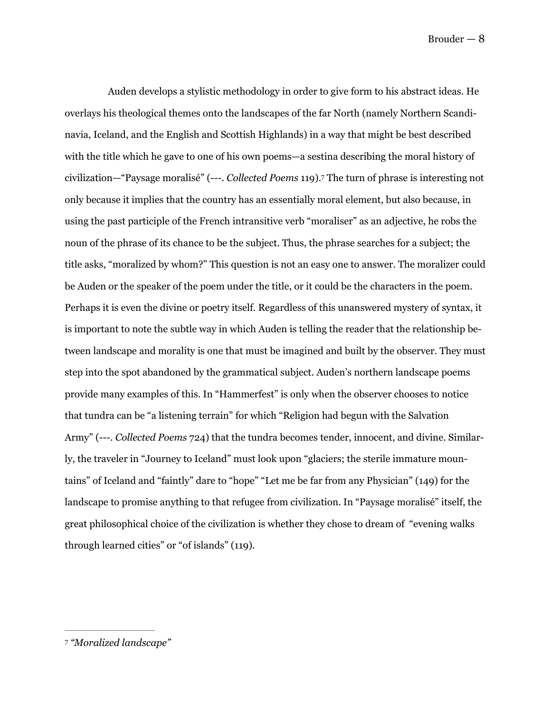<span id="page-8-1"></span>Auden develops a stylistic methodology in order to give form to his abstract ideas. He overlays his theological themes onto the landscapes of the far North (namely Northern Scandinavia, Iceland, and the English and Scottish Highlands) in a way that might be best described with the title which he gave to one of his own poems—a sestina describing the moral history of civilization—"Paysage moralisé" (---[.](#page-8-0) *Collected Poems* 119).<sup>[7](#page-8-0)</sup> The turn of phrase is interesting not only because it implies that the country has an essentially moral element, but also because, in using the past participle of the French intransitive verb "moraliser" as an adjective, he robs the noun of the phrase of its chance to be the subject. Thus, the phrase searches for a subject; the title asks, "moralized by whom?" This question is not an easy one to answer. The moralizer could be Auden or the speaker of the poem under the title, or it could be the characters in the poem. Perhaps it is even the divine or poetry itself. Regardless of this unanswered mystery of syntax, it is important to note the subtle way in which Auden is telling the reader that the relationship between landscape and morality is one that must be imagined and built by the observer. They must step into the spot abandoned by the grammatical subject. Auden's northern landscape poems provide many examples of this. In "Hammerfest" is only when the observer chooses to notice that tundra can be "a listening terrain" for which "Religion had begun with the Salvation Army" (---. *Collected Poems* 724) that the tundra becomes tender, innocent, and divine. Similarly, the traveler in "Journey to Iceland" must look upon "glaciers; the sterile immature mountains" of Iceland and "faintly" dare to "hope" "Let me be far from any Physician" (149) for the landscape to promise anything to that refugee from civilization. In "Paysage moralisé" itself, the great philosophical choice of the civilization is whether they chose to dream of "evening walks through learned cities" or "of islands" (119).

<span id="page-8-0"></span>*<sup>&</sup>quot;Moralized landscape"* [7](#page-8-1)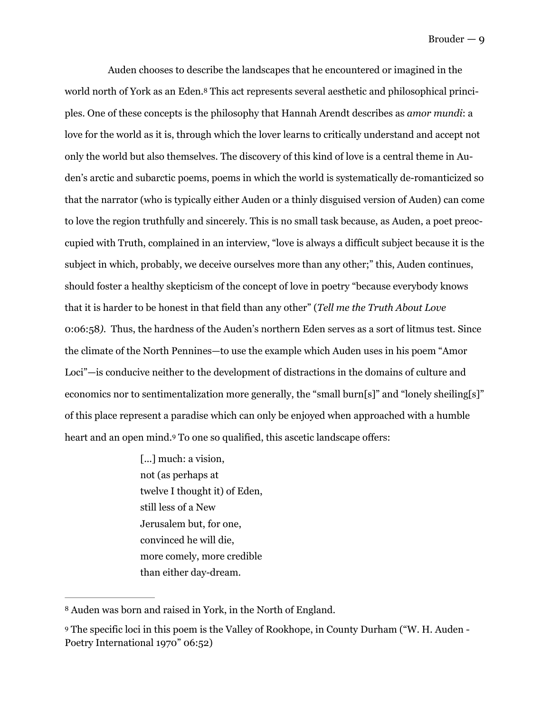<span id="page-9-2"></span>Auden chooses to describe the landscapes that he encountered or imagined in the world north of York as an Eden.<sup>8</sup> This act represents several aesthetic and philosophical principles. One of these concepts is the philosophy that Hannah Arendt describes as *amor mundi*: a love for the world as it is, through which the lover learns to critically understand and accept not only the world but also themselves. The discovery of this kind of love is a central theme in Auden's arctic and subarctic poems, poems in which the world is systematically de-romanticized so that the narrator (who is typically either Auden or a thinly disguised version of Auden) can come to love the region truthfully and sincerely. This is no small task because, as Auden, a poet preoccupied with Truth, complained in an interview, "love is always a difficult subject because it is the subject in which, probably, we deceive ourselves more than any other;" this, Auden continues, should foster a healthy skepticism of the concept of love in poetry "because everybody knows that it is harder to be honest in that field than any other" (*Tell me the Truth About Love*  0:06:58*).* Thus, the hardness of the Auden's northern Eden serves as a sort of litmus test. Since the climate of the North Pennines—to use the example which Auden uses in his poem "Amor Loci"—is conducive neither to the development of distractions in the domains of culture and economics nor to sentimentalization more generally, the "small burn[s]" and "lonely sheiling[s]" of this place represent a paradise which can only be enjoyed when approached with a humble heart and an open mind[.](#page-9-1) To one so qualified, this ascetic landscape offers:

> <span id="page-9-3"></span>[...] much: a vision, not (as perhaps at twelve I thought it) of Eden, still less of a New Jerusalem but, for one, convinced he will die, more comely, more credible than either day-dream.

<span id="page-9-0"></span><sup>&</sup>lt;sup>[8](#page-9-2)</sup> Auden was born and raised in York, in the North of England.

<span id="page-9-1"></span>The specific loci in this poem is the Valley of Rookhope, in County Durham ("W. H. Auden - [9](#page-9-3) Poetry International 1970" 06:52)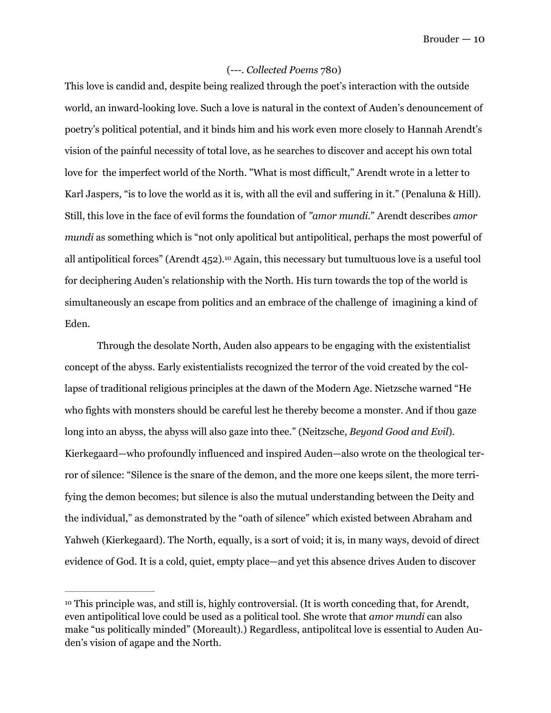#### (---. *Collected Poems* 780)

This love is candid and, despite being realized through the poet's interaction with the outside world, an inward-looking love. Such a love is natural in the context of Auden's denouncement of poetry's political potential, and it binds him and his work even more closely to Hannah Arendt's vision of the painful necessity of total love, as he searches to discover and accept his own total love for the imperfect world of the North. "What is most difficult," Arendt wrote in a letter to Karl Jaspers, "is to love the world as it is, with all the evil and suffering in it." (Penaluna & Hill). Still, this love in the face of evil forms the foundation of *"amor mundi.*" Arendt describes *amor mundi* as something which is "not only apolitical but antipolitical, perhaps the most powerful of all antipolitical forces" (Arendt  $452$ ).<sup>[10](#page-10-0)</sup> Again, this necessary but tumultuous love is a useful tool for deciphering Auden's relationship with the North. His turn towards the top of the world is simultaneously an escape from politics and an embrace of the challenge of imagining a kind of Eden.

<span id="page-10-1"></span> Through the desolate North, Auden also appears to be engaging with the existentialist concept of the abyss. Early existentialists recognized the terror of the void created by the collapse of traditional religious principles at the dawn of the Modern Age. Nietzsche warned "He who fights with monsters should be careful lest he thereby become a monster. And if thou gaze long into an abyss, the abyss will also gaze into thee." (Neitzsche, *Beyond Good and Evil*). Kierkegaard—who profoundly influenced and inspired Auden—also wrote on the theological terror of silence: "Silence is the snare of the demon, and the more one keeps silent, the more terrifying the demon becomes; but silence is also the mutual understanding between the Deity and the individual," as demonstrated by the "oath of silence" which existed between Abraham and Yahweh (Kierkegaard). The North, equally, is a sort of void; it is, in many ways, devoid of direct evidence of God. It is a cold, quiet, empty place—and yet this absence drives Auden to discover

<span id="page-10-0"></span><sup>&</sup>lt;sup>10</sup>This principle was, and still is, highly controversial. (It is worth conceding that, for Arendt, even antipolitical love could be used as a political tool. She wrote that *amor mundi* can also make "us politically minded" (Moreault).) Regardless, antipolitcal love is essential to Auden Auden's vision of agape and the North.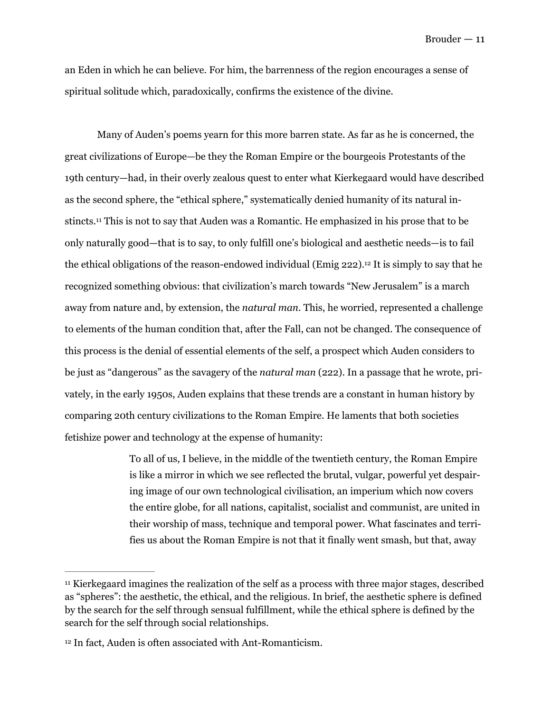an Eden in which he can believe. For him, the barrenness of the region encourages a sense of spiritual solitude which, paradoxically, confirms the existence of the divine.

<span id="page-11-2"></span> Many of Auden's poems yearn for this more barren state. As far as he is concerned, the great civilizations of Europe—be they the Roman Empire or the bourgeois Protestants of the 19th century—had, in their overly zealous quest to enter what Kierkegaard would have described as the second sphere, the "ethical sphere," systematically denied humanity of its natural in-stincts.<sup>[11](#page-11-0)</sup> This is not to say that Auden was a Romantic. He emphasized in his prose that to be only naturally good—that is to say, to only fulfill one's biological and aesthetic needs—is to fail the ethical obligations of the reason-endowed individual (Emig 222)[.](#page-11-1)<sup>[12](#page-11-1)</sup> It is simply to say that he recognized something obvious: that civilization's march towards "New Jerusalem" is a march away from nature and, by extension, the *natural man*. This, he worried, represented a challenge to elements of the human condition that, after the Fall, can not be changed. The consequence of this process is the denial of essential elements of the self, a prospect which Auden considers to be just as "dangerous" as the savagery of the *natural man* (222). In a passage that he wrote, privately, in the early 1950s, Auden explains that these trends are a constant in human history by comparing 20th century civilizations to the Roman Empire. He laments that both societies fetishize power and technology at the expense of humanity:

> <span id="page-11-3"></span>To all of us, I believe, in the middle of the twentieth century, the Roman Empire is like a mirror in which we see reflected the brutal, vulgar, powerful yet despairing image of our own technological civilisation, an imperium which now covers the entire globe, for all nations, capitalist, socialist and communist, are united in their worship of mass, technique and temporal power. What fascinates and terrifies us about the Roman Empire is not that it finally went smash, but that, away

<span id="page-11-0"></span> $<sup>11</sup>$  $<sup>11</sup>$  $<sup>11</sup>$  Kierkegaard imagines the realization of the self as a process with three major stages, described</sup> as "spheres": the aesthetic, the ethical, and the religious. In brief, the aesthetic sphere is defined by the search for the self through sensual fulfillment, while the ethical sphere is defined by the search for the self through social relationships.

<span id="page-11-1"></span><sup>&</sup>lt;sup>[12](#page-11-3)</sup> In fact, Auden is often associated with Ant-Romanticism.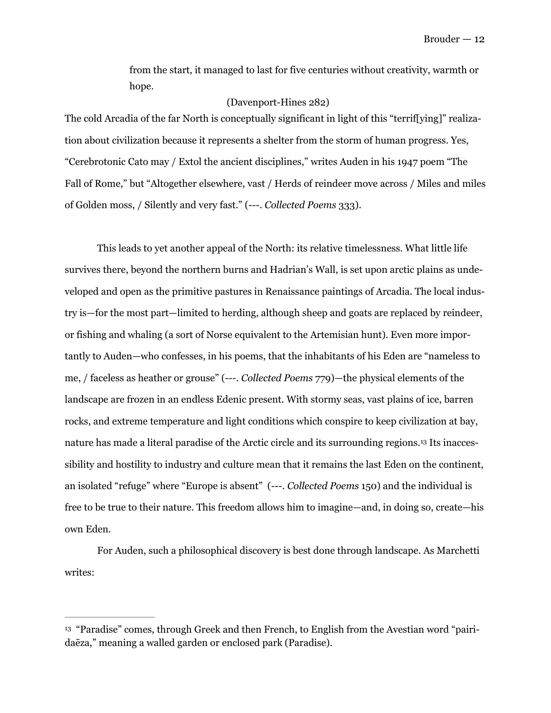from the start, it managed to last for five centuries without creativity, warmth or hope.

#### (Davenport-Hines 282)

The cold Arcadia of the far North is conceptually significant in light of this "terrif[ying]" realization about civilization because it represents a shelter from the storm of human progress. Yes, "Cerebrotonic Cato may / Extol the ancient disciplines," writes Auden in his 1947 poem "The Fall of Rome," but "Altogether elsewhere, vast / Herds of reindeer move across / Miles and miles of Golden moss, / Silently and very fast." (---. *Collected Poems* 333).

 This leads to yet another appeal of the North: its relative timelessness. What little life survives there, beyond the northern burns and Hadrian's Wall, is set upon arctic plains as undeveloped and open as the primitive pastures in Renaissance paintings of Arcadia. The local industry is—for the most part—limited to herding, although sheep and goats are replaced by reindeer, or fishing and whaling (a sort of Norse equivalent to the Artemisian hunt). Even more importantly to Auden—who confesses, in his poems, that the inhabitants of his Eden are "nameless to me, / faceless as heather or grouse" (---. *Collected Poems* 779)—the physical elements of the landscape are frozen in an endless Edenic present. With stormy seas, vast plains of ice, barren rocks, and extreme temperature and light conditions which conspire to keep civilization at bay, nature has made a literal paradise of the Arctic circle and its surrounding regions[.](#page-12-0)<sup>13</sup> Its inaccessibility and hostility to industry and culture mean that it remains the last Eden on the continent, an isolated "refuge" where "Europe is absent" (---. *Collected Poems* 150) and the individual is free to be true to their nature. This freedom allows him to imagine—and, in doing so, create—his own Eden.

<span id="page-12-1"></span> For Auden, such a philosophical discovery is best done through landscape. As Marchetti writes:

<span id="page-12-0"></span><sup>&</sup>lt;sup>[13](#page-12-1)</sup> "Paradise" comes, through Greek and then French, to English from the Avestian word "pairidaēza," meaning a walled garden or enclosed park (Paradise).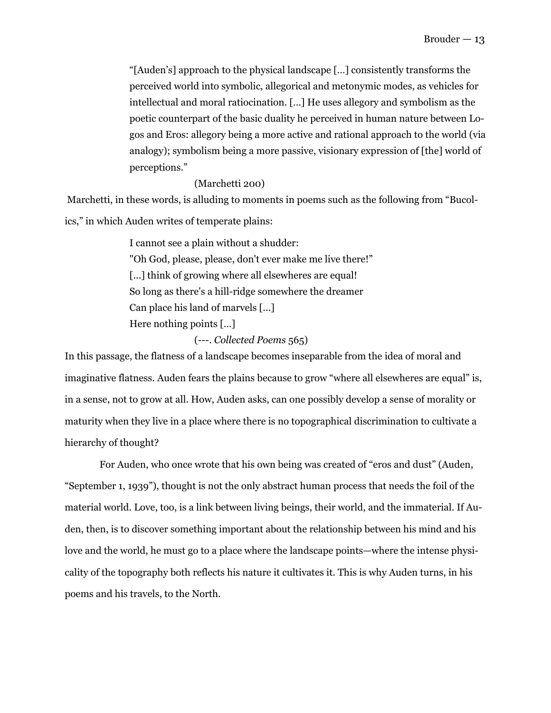"[Auden's] approach to the physical landscape […] consistently transforms the perceived world into symbolic, allegorical and metonymic modes, as vehicles for intellectual and moral ratiocination. […] He uses allegory and symbolism as the poetic counterpart of the basic duality he perceived in human nature between Logos and Eros: allegory being a more active and rational approach to the world (via analogy); symbolism being a more passive, visionary expression of [the] world of perceptions."

#### (Marchetti 200)

 Marchetti, in these words, is alluding to moments in poems such as the following from "Bucolics," in which Auden writes of temperate plains:

> I cannot see a plain without a shudder: "Oh God, please, please, don't ever make me live there!" [...] think of growing where all elsewheres are equal! So long as there's a hill-ridge somewhere the dreamer Can place his land of marvels [...] Here nothing points […]

> > (---. *Collected Poems* 565)

In this passage, the flatness of a landscape becomes inseparable from the idea of moral and imaginative flatness. Auden fears the plains because to grow "where all elsewheres are equal" is, in a sense, not to grow at all. How, Auden asks, can one possibly develop a sense of morality or maturity when they live in a place where there is no topographical discrimination to cultivate a hierarchy of thought?

 For Auden, who once wrote that his own being was created of "eros and dust" (Auden, "September 1, 1939"), thought is not the only abstract human process that needs the foil of the material world. Love, too, is a link between living beings, their world, and the immaterial. If Auden, then, is to discover something important about the relationship between his mind and his love and the world, he must go to a place where the landscape points—where the intense physicality of the topography both reflects his nature it cultivates it. This is why Auden turns, in his poems and his travels, to the North.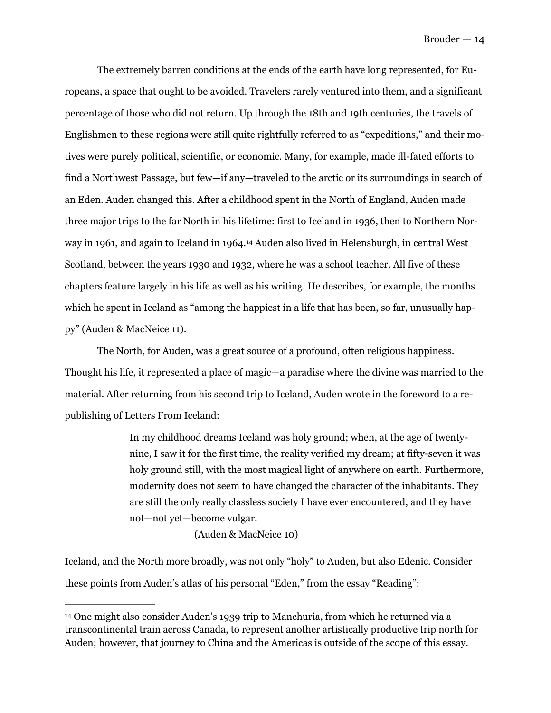The extremely barren conditions at the ends of the earth have long represented, for Europeans, a space that ought to be avoided. Travelers rarely ventured into them, and a significant percentage of those who did not return. Up through the 18th and 19th centuries, the travels of Englishmen to these regions were still quite rightfully referred to as "expeditions," and their motives were purely political, scientific, or economic. Many, for example, made ill-fated efforts to find a Northwest Passage, but few—if any—traveled to the arctic or its surroundings in search of an Eden. Auden changed this. After a childhood spent in the North of England, Auden made three major trips to the far North in his lifetime: first to Iceland in 1936, then to Northern Nor-wayin 1961, and again to Iceland in 1964.<sup>[14](#page-14-0)</sup> Auden also lived in Helensburgh, in central West Scotland, between the years 1930 and 1932, where he was a school teacher. All five of these chapters feature largely in his life as well as his writing. He describes, for example, the months which he spent in Iceland as "among the happiest in a life that has been, so far, unusually happy" (Auden & MacNeice 11).

<span id="page-14-1"></span> The North, for Auden, was a great source of a profound, often religious happiness. Thought his life, it represented a place of magic—a paradise where the divine was married to the material. After returning from his second trip to Iceland, Auden wrote in the foreword to a republishing of Letters From Iceland:

> In my childhood dreams Iceland was holy ground; when, at the age of twentynine, I saw it for the first time, the reality verified my dream; at fifty-seven it was holy ground still, with the most magical light of anywhere on earth. Furthermore, modernity does not seem to have changed the character of the inhabitants. They are still the only really classless society I have ever encountered, and they have not—not yet—become vulgar.

> > (Auden & MacNeice 10)

Iceland, and the North more broadly, was not only "holy" to Auden, but also Edenic. Consider these points from Auden's atlas of his personal "Eden," from the essay "Reading":

<span id="page-14-0"></span><sup>&</sup>lt;sup>[14](#page-14-1)</sup> One might also consider Auden's 1939 trip to Manchuria, from which he returned via a transcontinental train across Canada, to represent another artistically productive trip north for Auden; however, that journey to China and the Americas is outside of the scope of this essay.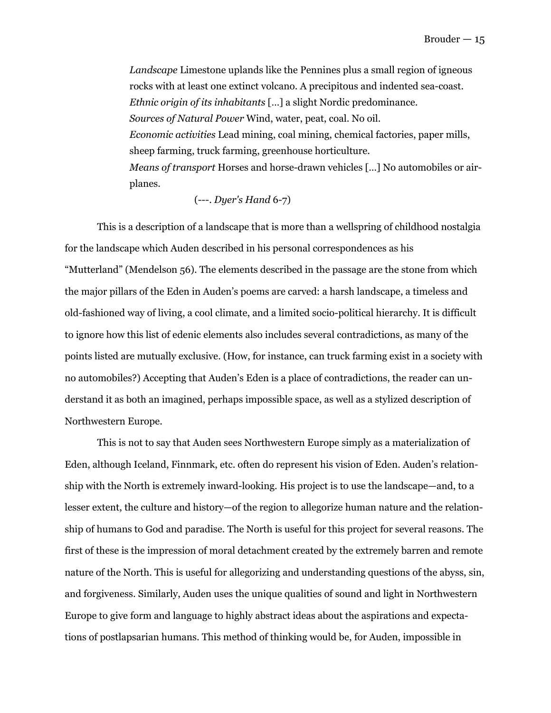*Landscape* Limestone uplands like the Pennines plus a small region of igneous rocks with at least one extinct volcano. A precipitous and indented sea-coast. *Ethnic origin of its inhabitants* […] a slight Nordic predominance. *Sources of Natural Power* Wind, water, peat, coal. No oil. *Economic activities* Lead mining, coal mining, chemical factories, paper mills, sheep farming, truck farming, greenhouse horticulture. *Means of transport* Horses and horse-drawn vehicles […] No automobiles or airplanes.

#### (---. *Dyer's Hand* 6-7)

 This is a description of a landscape that is more than a wellspring of childhood nostalgia for the landscape which Auden described in his personal correspondences as his "Mutterland" (Mendelson 56). The elements described in the passage are the stone from which the major pillars of the Eden in Auden's poems are carved: a harsh landscape, a timeless and old-fashioned way of living, a cool climate, and a limited socio-political hierarchy. It is difficult to ignore how this list of edenic elements also includes several contradictions, as many of the points listed are mutually exclusive. (How, for instance, can truck farming exist in a society with no automobiles?) Accepting that Auden's Eden is a place of contradictions, the reader can understand it as both an imagined, perhaps impossible space, as well as a stylized description of Northwestern Europe.

 This is not to say that Auden sees Northwestern Europe simply as a materialization of Eden, although Iceland, Finnmark, etc. often do represent his vision of Eden. Auden's relationship with the North is extremely inward-looking. His project is to use the landscape—and, to a lesser extent, the culture and history—of the region to allegorize human nature and the relationship of humans to God and paradise. The North is useful for this project for several reasons. The first of these is the impression of moral detachment created by the extremely barren and remote nature of the North. This is useful for allegorizing and understanding questions of the abyss, sin, and forgiveness. Similarly, Auden uses the unique qualities of sound and light in Northwestern Europe to give form and language to highly abstract ideas about the aspirations and expectations of postlapsarian humans. This method of thinking would be, for Auden, impossible in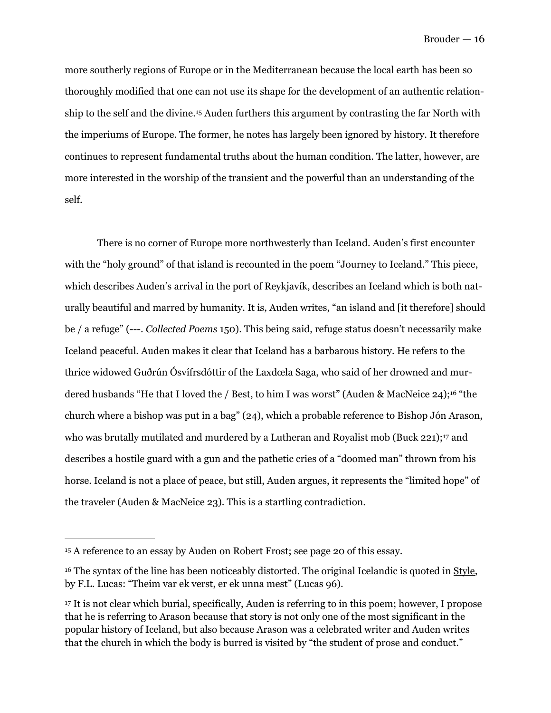<span id="page-16-3"></span>more southerly regions of Europe or in the Mediterranean because the local earth has been so thoroughly modified that one can not use its shape for the development of an authentic relation-shipto the self and the divine.<sup>[15](#page-16-0)</sup> Auden furthers this argument by contrasting the far North with the imperiums of Europe. The former, he notes has largely been ignored by history. It therefore continues to represent fundamental truths about the human condition. The latter, however, are more interested in the worship of the transient and the powerful than an understanding of the self.

<span id="page-16-4"></span> There is no corner of Europe more northwesterly than Iceland. Auden's first encounter with the "holy ground" of that island is recounted in the poem "Journey to Iceland." This piece, which describes Auden's arrival in the port of Reykjavík, describes an Iceland which is both naturally beautiful and marred by humanity. It is, Auden writes, "an island and [it therefore] should be / a refuge" (---. *Collected Poems* 150). This being said, refuge status doesn't necessarily make Iceland peaceful. Auden makes it clear that Iceland has a barbarous history. He refers to the thrice widowed Guðrún Ósvífrsdóttir of the Laxdœla Saga, who said of her drowned and mur-dered husbands "He that I loved the / Best, to him I was worst" (Auden & MacNeice 24);<sup>[16](#page-16-1)</sup> "the church where a bishop was put in a bag" (24), which a probable reference to Bishop Jón Arason, who was brutally mutilated and murdered by a Lutheran and Royalist mob (Buck 221);<sup>[17](#page-16-2)</sup> and describes a hostile guard with a gun and the pathetic cries of a "doomed man" thrown from his horse. Iceland is not a place of peace, but still, Auden argues, it represents the "limited hope" of the traveler (Auden & MacNeice 23). This is a startling contradiction.

<span id="page-16-5"></span><span id="page-16-0"></span><sup>&</sup>lt;sup>[15](#page-16-3)</sup> A reference to an essay by Auden on Robert Frost; see page 20 of this essay.

<span id="page-16-1"></span><sup>&</sup>lt;sup>[16](#page-16-4)</sup> The syntax of the line has been noticeably distorted. The original Icelandic is quoted in Style, by F.L. Lucas: "Theim var ek verst, er ek unna mest" (Lucas 96).

<span id="page-16-2"></span><sup>&</sup>lt;sup>17</sup>It is not clear which burial, specifically, Auden is referring to in this poem; however, I propose that he is referring to Arason because that story is not only one of the most significant in the popular history of Iceland, but also because Arason was a celebrated writer and Auden writes that the church in which the body is burred is visited by "the student of prose and conduct."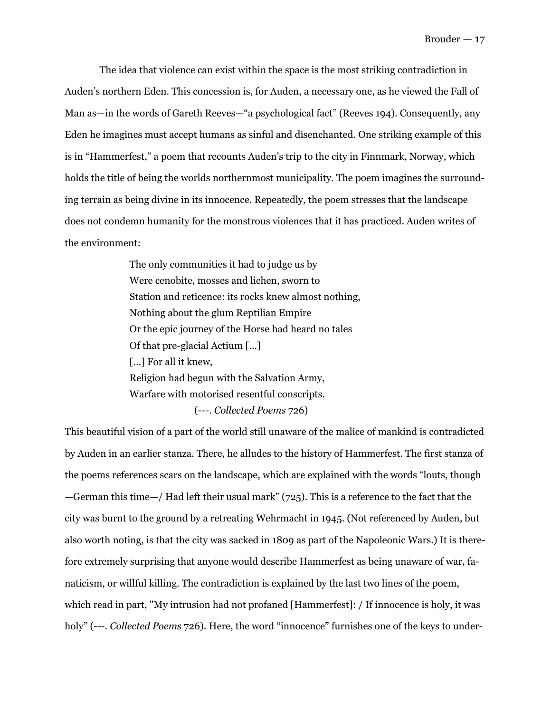The idea that violence can exist within the space is the most striking contradiction in Auden's northern Eden. This concession is, for Auden, a necessary one, as he viewed the Fall of Man as—in the words of Gareth Reeves—"a psychological fact" (Reeves 194). Consequently, any Eden he imagines must accept humans as sinful and disenchanted. One striking example of this is in "Hammerfest," a poem that recounts Auden's trip to the city in Finnmark, Norway, which holds the title of being the worlds northernmost municipality. The poem imagines the surrounding terrain as being divine in its innocence. Repeatedly, the poem stresses that the landscape does not condemn humanity for the monstrous violences that it has practiced. Auden writes of the environment:

> The only communities it had to judge us by Were cenobite, mosses and lichen, sworn to Station and reticence: its rocks knew almost nothing, Nothing about the glum Reptilian Empire Or the epic journey of the Horse had heard no tales Of that pre-glacial Actium […] [...] For all it knew, Religion had begun with the Salvation Army, Warfare with motorised resentful conscripts. (---. *Collected Poems* 726)

This beautiful vision of a part of the world still unaware of the malice of mankind is contradicted by Auden in an earlier stanza. There, he alludes to the history of Hammerfest. The first stanza of the poems references scars on the landscape, which are explained with the words "louts, though —German this time—/ Had left their usual mark" ( $725$ ). This is a reference to the fact that the city was burnt to the ground by a retreating Wehrmacht in 1945. (Not referenced by Auden, but also worth noting, is that the city was sacked in 1809 as part of the Napoleonic Wars.) It is therefore extremely surprising that anyone would describe Hammerfest as being unaware of war, fanaticism, or willful killing. The contradiction is explained by the last two lines of the poem, which read in part, "My intrusion had not profaned [Hammerfest]: / If innocence is holy, it was holy" (---. *Collected Poems* 726). Here, the word "innocence" furnishes one of the keys to under-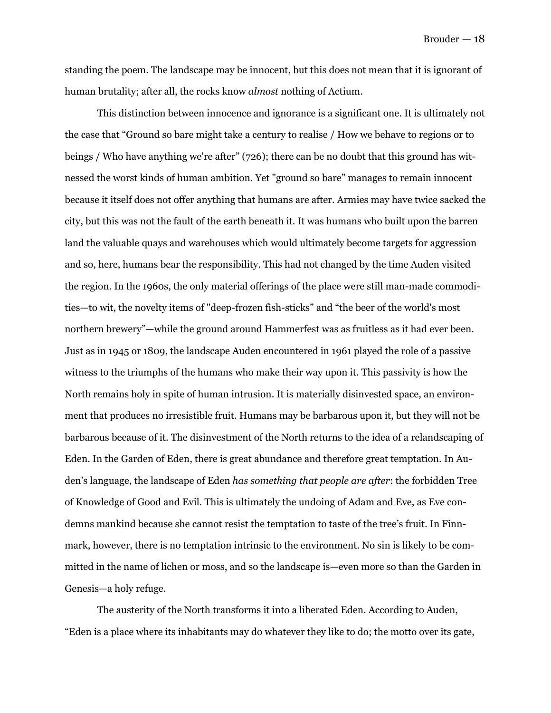standing the poem. The landscape may be innocent, but this does not mean that it is ignorant of human brutality; after all, the rocks know *almost* nothing of Actium.

This distinction between innocence and ignorance is a significant one. It is ultimately not the case that "Ground so bare might take a century to realise / How we behave to regions or to beings / Who have anything we're after" (726); there can be no doubt that this ground has witnessed the worst kinds of human ambition. Yet "ground so bare" manages to remain innocent because it itself does not offer anything that humans are after. Armies may have twice sacked the city, but this was not the fault of the earth beneath it. It was humans who built upon the barren land the valuable quays and warehouses which would ultimately become targets for aggression and so, here, humans bear the responsibility. This had not changed by the time Auden visited the region. In the 1960s, the only material offerings of the place were still man-made commodities—to wit, the novelty items of "deep-frozen fish-sticks" and "the beer of the world's most northern brewery"—while the ground around Hammerfest was as fruitless as it had ever been. Just as in 1945 or 1809, the landscape Auden encountered in 1961 played the role of a passive witness to the triumphs of the humans who make their way upon it. This passivity is how the North remains holy in spite of human intrusion. It is materially disinvested space, an environment that produces no irresistible fruit. Humans may be barbarous upon it, but they will not be barbarous because of it. The disinvestment of the North returns to the idea of a relandscaping of Eden. In the Garden of Eden, there is great abundance and therefore great temptation. In Auden's language, the landscape of Eden *has something that people are after*: the forbidden Tree of Knowledge of Good and Evil. This is ultimately the undoing of Adam and Eve, as Eve condemns mankind because she cannot resist the temptation to taste of the tree's fruit. In Finnmark, however, there is no temptation intrinsic to the environment. No sin is likely to be committed in the name of lichen or moss, and so the landscape is—even more so than the Garden in Genesis—a holy refuge.

 The austerity of the North transforms it into a liberated Eden. According to Auden, "Eden is a place where its inhabitants may do whatever they like to do; the motto over its gate,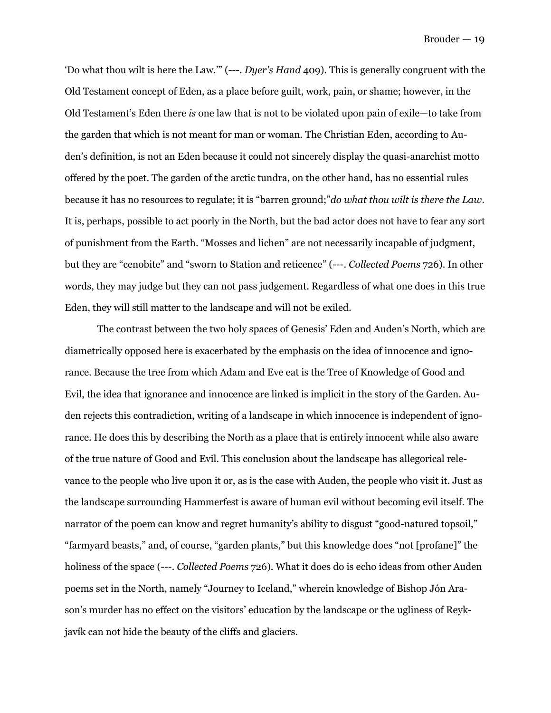'Do what thou wilt is here the Law.'" (---. *Dyer's Hand* 409). This is generally congruent with the Old Testament concept of Eden, as a place before guilt, work, pain, or shame; however, in the Old Testament's Eden there *is* one law that is not to be violated upon pain of exile—to take from the garden that which is not meant for man or woman. The Christian Eden, according to Auden's definition, is not an Eden because it could not sincerely display the quasi-anarchist motto offered by the poet. The garden of the arctic tundra, on the other hand, has no essential rules because it has no resources to regulate; it is "barren ground;"*do what thou wilt is there the Law*. It is, perhaps, possible to act poorly in the North, but the bad actor does not have to fear any sort of punishment from the Earth. "Mosses and lichen" are not necessarily incapable of judgment, but they are "cenobite" and "sworn to Station and reticence" (---. *Collected Poems* 726). In other words, they may judge but they can not pass judgement. Regardless of what one does in this true Eden, they will still matter to the landscape and will not be exiled.

 The contrast between the two holy spaces of Genesis' Eden and Auden's North, which are diametrically opposed here is exacerbated by the emphasis on the idea of innocence and ignorance. Because the tree from which Adam and Eve eat is the Tree of Knowledge of Good and Evil, the idea that ignorance and innocence are linked is implicit in the story of the Garden. Auden rejects this contradiction, writing of a landscape in which innocence is independent of ignorance. He does this by describing the North as a place that is entirely innocent while also aware of the true nature of Good and Evil. This conclusion about the landscape has allegorical relevance to the people who live upon it or, as is the case with Auden, the people who visit it. Just as the landscape surrounding Hammerfest is aware of human evil without becoming evil itself. The narrator of the poem can know and regret humanity's ability to disgust "good-natured topsoil," "farmyard beasts," and, of course, "garden plants," but this knowledge does "not [profane]" the holiness of the space (---. *Collected Poems* 726). What it does do is echo ideas from other Auden poems set in the North, namely "Journey to Iceland," wherein knowledge of Bishop Jón Arason's murder has no effect on the visitors' education by the landscape or the ugliness of Reykjavík can not hide the beauty of the cliffs and glaciers.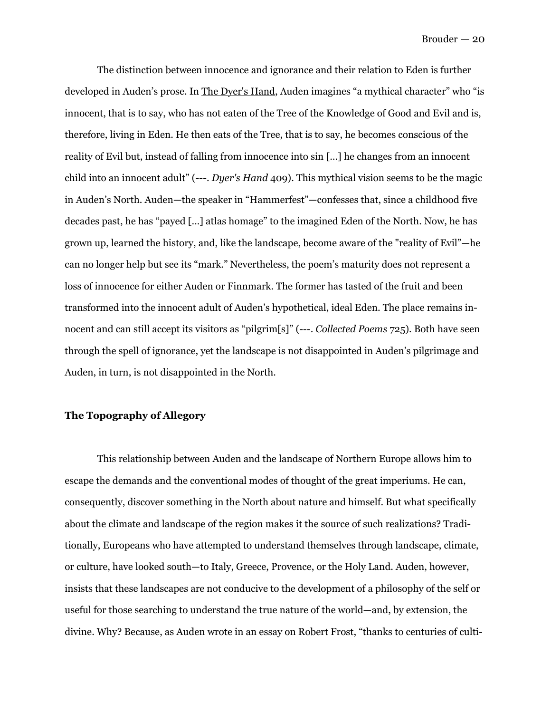The distinction between innocence and ignorance and their relation to Eden is further developed in Auden's prose. In The Dyer's Hand, Auden imagines "a mythical character" who "is innocent, that is to say, who has not eaten of the Tree of the Knowledge of Good and Evil and is, therefore, living in Eden. He then eats of the Tree, that is to say, he becomes conscious of the reality of Evil but, instead of falling from innocence into sin […] he changes from an innocent child into an innocent adult" (---. *Dyer's Hand* 409). This mythical vision seems to be the magic in Auden's North. Auden—the speaker in "Hammerfest"—confesses that, since a childhood five decades past, he has "payed […] atlas homage" to the imagined Eden of the North. Now, he has grown up, learned the history, and, like the landscape, become aware of the "reality of Evil"—he can no longer help but see its "mark." Nevertheless, the poem's maturity does not represent a loss of innocence for either Auden or Finnmark. The former has tasted of the fruit and been transformed into the innocent adult of Auden's hypothetical, ideal Eden. The place remains innocent and can still accept its visitors as "pilgrim[s]" (---. *Collected Poems* 725). Both have seen through the spell of ignorance, yet the landscape is not disappointed in Auden's pilgrimage and Auden, in turn, is not disappointed in the North.

#### **The Topography of Allegory**

 This relationship between Auden and the landscape of Northern Europe allows him to escape the demands and the conventional modes of thought of the great imperiums. He can, consequently, discover something in the North about nature and himself. But what specifically about the climate and landscape of the region makes it the source of such realizations? Traditionally, Europeans who have attempted to understand themselves through landscape, climate, or culture, have looked south—to Italy, Greece, Provence, or the Holy Land. Auden, however, insists that these landscapes are not conducive to the development of a philosophy of the self or useful for those searching to understand the true nature of the world—and, by extension, the divine. Why? Because, as Auden wrote in an essay on Robert Frost, "thanks to centuries of culti-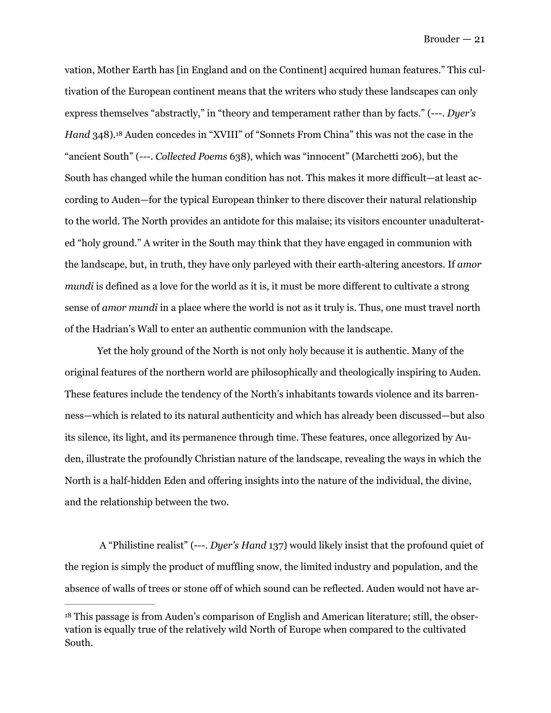<span id="page-21-1"></span>vation, Mother Earth has [in England and on the Continent] acquired human features." This cultivation of the European continent means that the writers who study these landscapes can only express themselves "abstractly," in "theory and temperament rather than by facts." (---. *Dyer's Hand* 348).<sup>[18](#page-21-0)</sup> Auden concedes in "XVIII" of "Sonnets From China" this was not the case in the "ancient South" (---. *Collected Poems* 638), which was "innocent" (Marchetti 206), but the South has changed while the human condition has not. This makes it more difficult—at least according to Auden—for the typical European thinker to there discover their natural relationship to the world. The North provides an antidote for this malaise; its visitors encounter unadulterated "holy ground." A writer in the South may think that they have engaged in communion with the landscape, but, in truth, they have only parleyed with their earth-altering ancestors. If *amor mundi* is defined as a love for the world as it is, it must be more different to cultivate a strong sense of *amor mundi* in a place where the world is not as it truly is. Thus, one must travel north of the Hadrian's Wall to enter an authentic communion with the landscape.

 Yet the holy ground of the North is not only holy because it is authentic. Many of the original features of the northern world are philosophically and theologically inspiring to Auden. These features include the tendency of the North's inhabitants towards violence and its barrenness—which is related to its natural authenticity and which has already been discussed—but also its silence, its light, and its permanence through time. These features, once allegorized by Auden, illustrate the profoundly Christian nature of the landscape, revealing the ways in which the North is a half-hidden Eden and offering insights into the nature of the individual, the divine, and the relationship between the two.

A "Philistine realist" (---. *Dyer's Hand* 137) would likely insist that the profound quiet of the region is simply the product of muffling snow, the limited industry and population, and the absence of walls of trees or stone off of which sound can be reflected. Auden would not have ar-

<span id="page-21-0"></span><sup>&</sup>lt;sup>[18](#page-21-1)</sup> This passage is from Auden's comparison of English and American literature; still, the observation is equally true of the relatively wild North of Europe when compared to the cultivated South.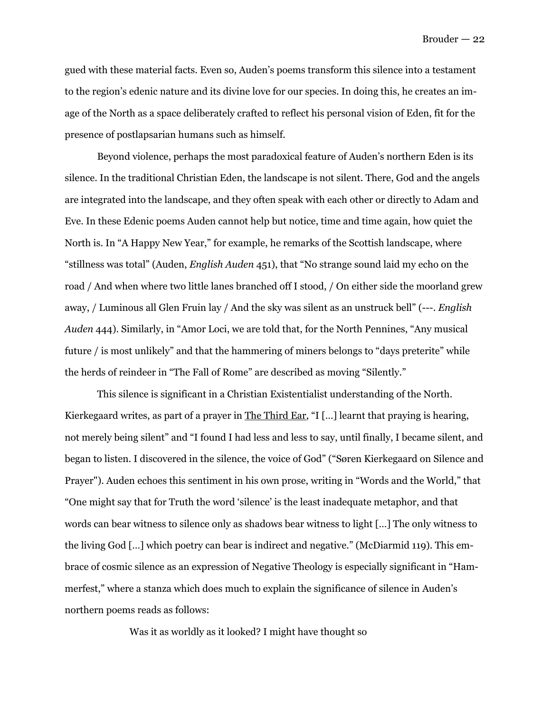gued with these material facts. Even so, Auden's poems transform this silence into a testament to the region's edenic nature and its divine love for our species. In doing this, he creates an image of the North as a space deliberately crafted to reflect his personal vision of Eden, fit for the presence of postlapsarian humans such as himself.

 Beyond violence, perhaps the most paradoxical feature of Auden's northern Eden is its silence. In the traditional Christian Eden, the landscape is not silent. There, God and the angels are integrated into the landscape, and they often speak with each other or directly to Adam and Eve. In these Edenic poems Auden cannot help but notice, time and time again, how quiet the North is. In "A Happy New Year," for example, he remarks of the Scottish landscape, where "stillness was total" (Auden, *English Auden* 451), that "No strange sound laid my echo on the road / And when where two little lanes branched off I stood, / On either side the moorland grew away, / Luminous all Glen Fruin lay / And the sky was silent as an unstruck bell" (---. *English Auden* 444). Similarly, in "Amor Loci, we are told that, for the North Pennines, "Any musical future / is most unlikely" and that the hammering of miners belongs to "days preterite" while the herds of reindeer in "The Fall of Rome" are described as moving "Silently."

 This silence is significant in a Christian Existentialist understanding of the North. Kierkegaard writes, as part of a prayer in The Third Ear, "I [...] learnt that praying is hearing, not merely being silent" and "I found I had less and less to say, until finally, I became silent, and began to listen. I discovered in the silence, the voice of God" ("Søren Kierkegaard on Silence and Prayer"). Auden echoes this sentiment in his own prose, writing in "Words and the World," that "One might say that for Truth the word 'silence' is the least inadequate metaphor, and that words can bear witness to silence only as shadows bear witness to light […] The only witness to the living God […] which poetry can bear is indirect and negative." (McDiarmid 119). This embrace of cosmic silence as an expression of Negative Theology is especially significant in "Hammerfest," where a stanza which does much to explain the significance of silence in Auden's northern poems reads as follows:

Was it as worldly as it looked? I might have thought so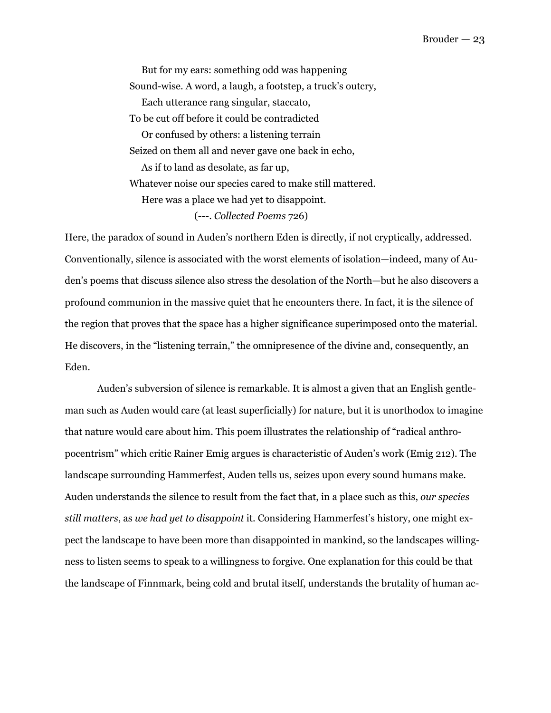But for my ears: something odd was happening Sound-wise. A word, a laugh, a footstep, a truck's outcry, Each utterance rang singular, staccato, To be cut off before it could be contradicted Or confused by others: a listening terrain Seized on them all and never gave one back in echo, As if to land as desolate, as far up, Whatever noise our species cared to make still mattered. Here was a place we had yet to disappoint. (---. *Collected Poems* 726)

Here, the paradox of sound in Auden's northern Eden is directly, if not cryptically, addressed. Conventionally, silence is associated with the worst elements of isolation—indeed, many of Auden's poems that discuss silence also stress the desolation of the North—but he also discovers a profound communion in the massive quiet that he encounters there. In fact, it is the silence of the region that proves that the space has a higher significance superimposed onto the material. He discovers, in the "listening terrain," the omnipresence of the divine and, consequently, an Eden.

 Auden's subversion of silence is remarkable. It is almost a given that an English gentleman such as Auden would care (at least superficially) for nature, but it is unorthodox to imagine that nature would care about him. This poem illustrates the relationship of "radical anthropocentrism" which critic Rainer Emig argues is characteristic of Auden's work (Emig 212). The landscape surrounding Hammerfest, Auden tells us, seizes upon every sound humans make. Auden understands the silence to result from the fact that, in a place such as this, *our species still matters*, as *we had yet to disappoint* it. Considering Hammerfest's history, one might expect the landscape to have been more than disappointed in mankind, so the landscapes willingness to listen seems to speak to a willingness to forgive. One explanation for this could be that the landscape of Finnmark, being cold and brutal itself, understands the brutality of human ac-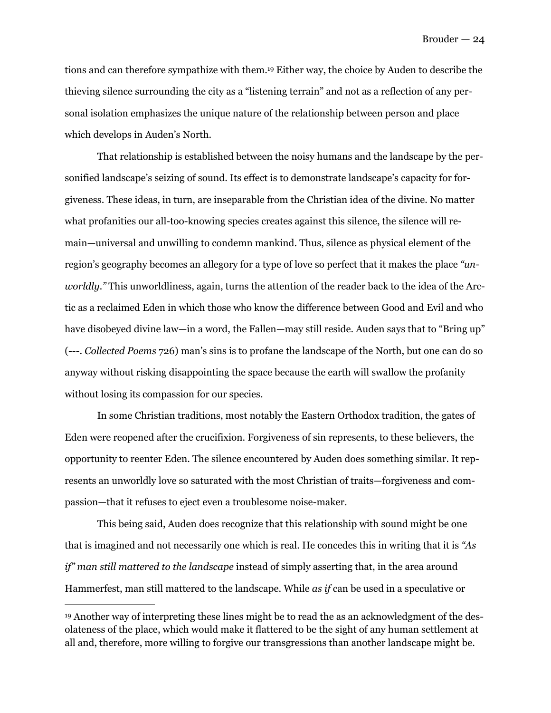<span id="page-24-1"></span>tions and can therefore sympathize with them[.](#page-24-0)<sup>[19](#page-24-0)</sup> Either way, the choice by Auden to describe the thieving silence surrounding the city as a "listening terrain" and not as a reflection of any personal isolation emphasizes the unique nature of the relationship between person and place which develops in Auden's North.

 That relationship is established between the noisy humans and the landscape by the personified landscape's seizing of sound. Its effect is to demonstrate landscape's capacity for forgiveness. These ideas, in turn, are inseparable from the Christian idea of the divine. No matter what profanities our all-too-knowing species creates against this silence, the silence will remain—universal and unwilling to condemn mankind. Thus, silence as physical element of the region's geography becomes an allegory for a type of love so perfect that it makes the place *"unworldly."* This unworldliness, again, turns the attention of the reader back to the idea of the Arctic as a reclaimed Eden in which those who know the difference between Good and Evil and who have disobeyed divine law—in a word, the Fallen—may still reside. Auden says that to "Bring up" (---. *Collected Poems* 726) man's sins is to profane the landscape of the North, but one can do so anyway without risking disappointing the space because the earth will swallow the profanity without losing its compassion for our species.

 In some Christian traditions, most notably the Eastern Orthodox tradition, the gates of Eden were reopened after the crucifixion. Forgiveness of sin represents, to these believers, the opportunity to reenter Eden. The silence encountered by Auden does something similar. It represents an unworldly love so saturated with the most Christian of traits—forgiveness and compassion—that it refuses to eject even a troublesome noise-maker.

 This being said, Auden does recognize that this relationship with sound might be one that is imagined and not necessarily one which is real. He concedes this in writing that it is *"As if" man still mattered to the landscape* instead of simply asserting that, in the area around Hammerfest, man still mattered to the landscape. While *as if* can be used in a speculative or

<span id="page-24-0"></span><sup>&</sup>lt;sup>[19](#page-24-1)</sup> Another way of interpreting these lines might be to read the as an acknowledgment of the desolateness of the place, which would make it flattered to be the sight of any human settlement at all and, therefore, more willing to forgive our transgressions than another landscape might be.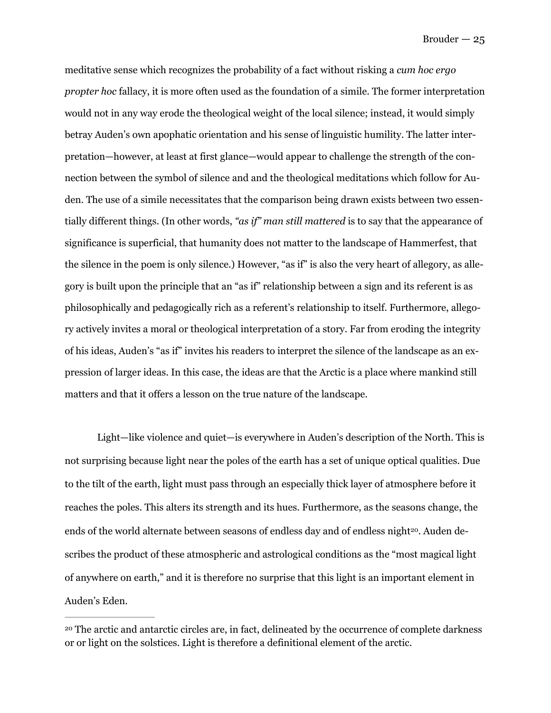meditative sense which recognizes the probability of a fact without risking a *cum hoc ergo propter hoc* fallacy, it is more often used as the foundation of a simile. The former interpretation would not in any way erode the theological weight of the local silence; instead, it would simply betray Auden's own apophatic orientation and his sense of linguistic humility. The latter interpretation—however, at least at first glance—would appear to challenge the strength of the connection between the symbol of silence and and the theological meditations which follow for Auden. The use of a simile necessitates that the comparison being drawn exists between two essentially different things. (In other words, *"as if" man still mattered* is to say that the appearance of significance is superficial, that humanity does not matter to the landscape of Hammerfest, that the silence in the poem is only silence.) However, "as if" is also the very heart of allegory, as allegory is built upon the principle that an "as if" relationship between a sign and its referent is as philosophically and pedagogically rich as a referent's relationship to itself. Furthermore, allegory actively invites a moral or theological interpretation of a story. Far from eroding the integrity of his ideas, Auden's "as if" invites his readers to interpret the silence of the landscape as an expression of larger ideas. In this case, the ideas are that the Arctic is a place where mankind still matters and that it offers a lesson on the true nature of the landscape.

<span id="page-25-1"></span> Light—like violence and quiet—is everywhere in Auden's description of the North. This is not surprising because light near the poles of the earth has a set of unique optical qualities. Due to the tilt of the earth, light must pass through an especially thick layer of atmosphere before it reaches the poles. This alters its strength and its hues. Furthermore, as the seasons change, the ends of the world alternate between seasons of endless day and of endless night<sup>20</sup>. Auden describes the product of these atmospheric and astrological conditions as the "most magical light of anywhere on earth," and it is therefore no surprise that this light is an important element in Auden's Eden.

<span id="page-25-0"></span><sup>&</sup>lt;sup>20</sup>The arctic and antarctic circles are, in fact, delineated by the occurrence of complete darkness or or light on the solstices. Light is therefore a definitional element of the arctic.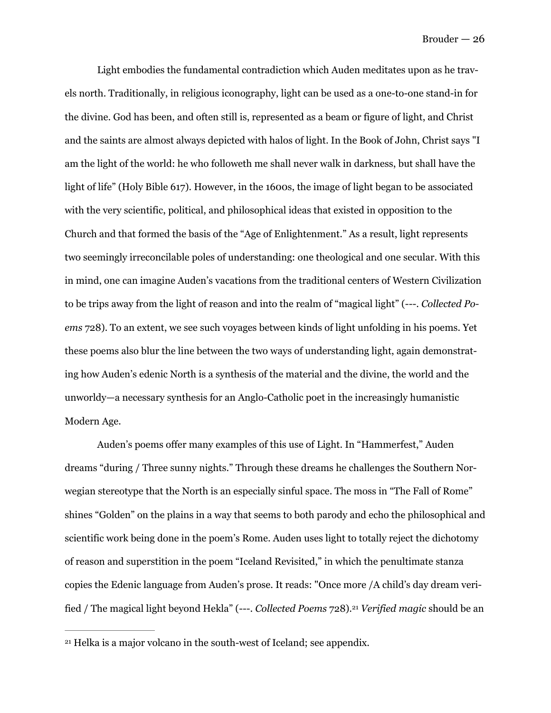Light embodies the fundamental contradiction which Auden meditates upon as he travels north. Traditionally, in religious iconography, light can be used as a one-to-one stand-in for the divine. God has been, and often still is, represented as a beam or figure of light, and Christ and the saints are almost always depicted with halos of light. In the Book of John, Christ says "I am the light of the world: he who followeth me shall never walk in darkness, but shall have the light of life" (Holy Bible 617). However, in the 1600s, the image of light began to be associated with the very scientific, political, and philosophical ideas that existed in opposition to the Church and that formed the basis of the "Age of Enlightenment." As a result, light represents two seemingly irreconcilable poles of understanding: one theological and one secular. With this in mind, one can imagine Auden's vacations from the traditional centers of Western Civilization to be trips away from the light of reason and into the realm of "magical light" (---. *Collected Poems* 728). To an extent, we see such voyages between kinds of light unfolding in his poems. Yet these poems also blur the line between the two ways of understanding light, again demonstrating how Auden's edenic North is a synthesis of the material and the divine, the world and the unworldy—a necessary synthesis for an Anglo-Catholic poet in the increasingly humanistic Modern Age.

 Auden's poems offer many examples of this use of Light. In "Hammerfest," Auden dreams "during / Three sunny nights." Through these dreams he challenges the Southern Norwegian stereotype that the North is an especially sinful space. The moss in "The Fall of Rome" shines "Golden" on the plains in a way that seems to both parody and echo the philosophical and scientific work being done in the poem's Rome. Auden uses light to totally reject the dichotomy of reason and superstition in the poem "Iceland Revisited," in which the penultimate stanza copies the Edenic language from Auden's prose. It reads: "Once more /A child's day dream verified / The magical light beyond Hekla" (---. *Collected Poems* 728). *Verified magic* should be an [21](#page-26-0)

<span id="page-26-1"></span><span id="page-26-0"></span><sup>&</sup>lt;sup>[21](#page-26-1)</sup> Helka is a major volcano in the south-west of Iceland; see appendix.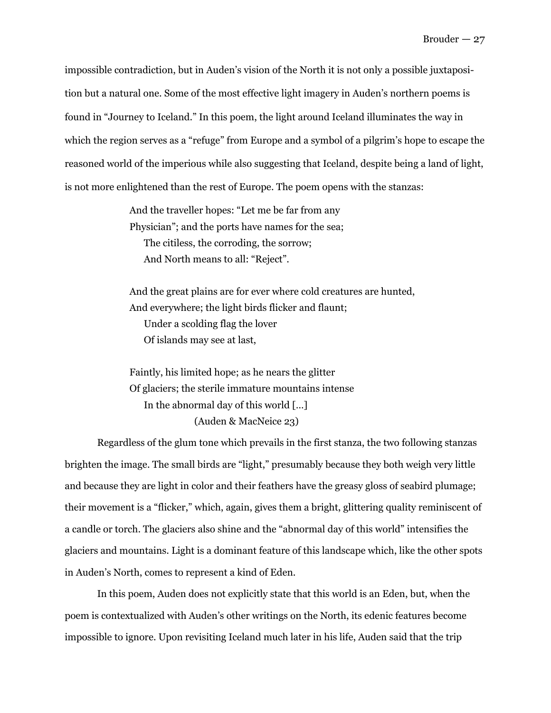impossible contradiction, but in Auden's vision of the North it is not only a possible juxtaposition but a natural one. Some of the most effective light imagery in Auden's northern poems is found in "Journey to Iceland." In this poem, the light around Iceland illuminates the way in which the region serves as a "refuge" from Europe and a symbol of a pilgrim's hope to escape the reasoned world of the imperious while also suggesting that Iceland, despite being a land of light, is not more enlightened than the rest of Europe. The poem opens with the stanzas:

> And the traveller hopes: "Let me be far from any Physician"; and the ports have names for the sea; The citiless, the corroding, the sorrow; And North means to all: "Reject".

And the great plains are for ever where cold creatures are hunted, And everywhere; the light birds flicker and flaunt; Under a scolding flag the lover Of islands may see at last,

Faintly, his limited hope; as he nears the glitter Of glaciers; the sterile immature mountains intense In the abnormal day of this world […] (Auden & MacNeice 23)

 Regardless of the glum tone which prevails in the first stanza, the two following stanzas brighten the image. The small birds are "light," presumably because they both weigh very little and because they are light in color and their feathers have the greasy gloss of seabird plumage; their movement is a "flicker," which, again, gives them a bright, glittering quality reminiscent of a candle or torch. The glaciers also shine and the "abnormal day of this world" intensifies the glaciers and mountains. Light is a dominant feature of this landscape which, like the other spots in Auden's North, comes to represent a kind of Eden.

 In this poem, Auden does not explicitly state that this world is an Eden, but, when the poem is contextualized with Auden's other writings on the North, its edenic features become impossible to ignore. Upon revisiting Iceland much later in his life, Auden said that the trip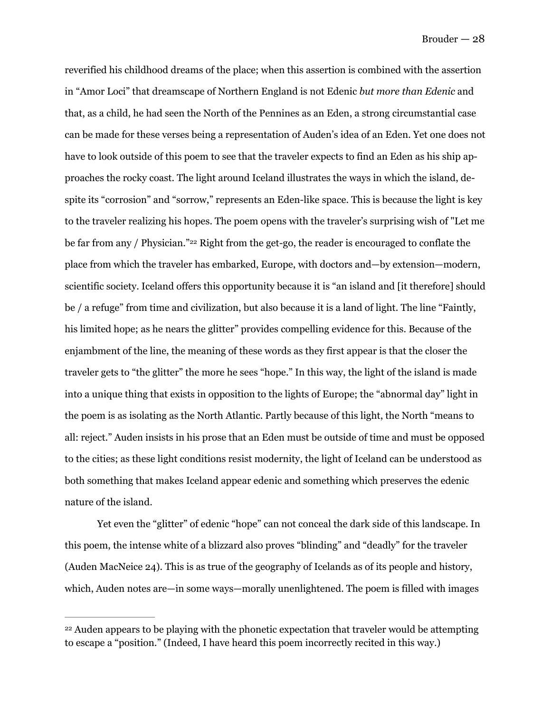<span id="page-28-1"></span>reverified his childhood dreams of the place; when this assertion is combined with the assertion in "Amor Loci" that dreamscape of Northern England is not Edenic *but more than Edenic* and that, as a child, he had seen the North of the Pennines as an Eden, a strong circumstantial case can be made for these verses being a representation of Auden's idea of an Eden. Yet one does not have to look outside of this poem to see that the traveler expects to find an Eden as his ship approaches the rocky coast. The light around Iceland illustrates the ways in which the island, despite its "corrosion" and "sorrow," represents an Eden-like space. This is because the light is key to the traveler realizing his hopes. The poem opens with the traveler's surprising wish of "Let me be far from any / Physician." $22$  Right from the get-go, the reader is encouraged to conflate the place from which the traveler has embarked, Europe, with doctors and—by extension—modern, scientific society. Iceland offers this opportunity because it is "an island and [it therefore] should be / a refuge" from time and civilization, but also because it is a land of light. The line "Faintly, his limited hope; as he nears the glitter" provides compelling evidence for this. Because of the enjambment of the line, the meaning of these words as they first appear is that the closer the traveler gets to "the glitter" the more he sees "hope." In this way, the light of the island is made into a unique thing that exists in opposition to the lights of Europe; the "abnormal day" light in the poem is as isolating as the North Atlantic. Partly because of this light, the North "means to all: reject." Auden insists in his prose that an Eden must be outside of time and must be opposed to the cities; as these light conditions resist modernity, the light of Iceland can be understood as both something that makes Iceland appear edenic and something which preserves the edenic nature of the island.

 Yet even the "glitter" of edenic "hope" can not conceal the dark side of this landscape. In this poem, the intense white of a blizzard also proves "blinding" and "deadly" for the traveler (Auden MacNeice 24). This is as true of the geography of Icelands as of its people and history, which, Auden notes are—in some ways—morally unenlightened. The poem is filled with images

<span id="page-28-0"></span><sup>&</sup>lt;sup>[22](#page-28-1)</sup> Auden appears to be playing with the phonetic expectation that traveler would be attempting to escape a "position." (Indeed, I have heard this poem incorrectly recited in this way.)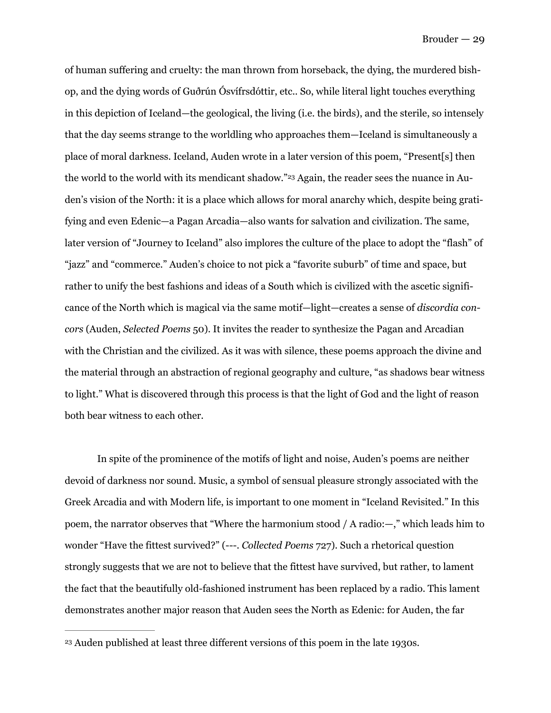<span id="page-29-1"></span>of human suffering and cruelty: the man thrown from horseback, the dying, the murdered bishop, and the dying words of Guðrún Ósvífrsdóttir, etc.. So, while literal light touches everything in this depiction of Iceland—the geological, the living (i.e. the birds), and the sterile, so intensely that the day seems strange to the worldling who approaches them—Iceland is simultaneously a place of moral darkness. Iceland, Auden wrote in a later version of this poem, "Present[s] then the world to the world with its mendicant shadow."<sup>23</sup> Again, the reader sees the nuance in Auden's vision of the North: it is a place which allows for moral anarchy which, despite being gratifying and even Edenic—a Pagan Arcadia—also wants for salvation and civilization. The same, later version of "Journey to Iceland" also implores the culture of the place to adopt the "flash" of "jazz" and "commerce." Auden's choice to not pick a "favorite suburb" of time and space, but rather to unify the best fashions and ideas of a South which is civilized with the ascetic significance of the North which is magical via the same motif—light—creates a sense of *discordia concors* (Auden, *Selected Poems* 50). It invites the reader to synthesize the Pagan and Arcadian with the Christian and the civilized. As it was with silence, these poems approach the divine and the material through an abstraction of regional geography and culture, "as shadows bear witness to light." What is discovered through this process is that the light of God and the light of reason both bear witness to each other.

In spite of the prominence of the motifs of light and noise, Auden's poems are neither devoid of darkness nor sound. Music, a symbol of sensual pleasure strongly associated with the Greek Arcadia and with Modern life, is important to one moment in "Iceland Revisited." In this poem, the narrator observes that "Where the harmonium stood / A radio:—," which leads him to wonder "Have the fittest survived?" (---. *Collected Poems* 727). Such a rhetorical question strongly suggests that we are not to believe that the fittest have survived, but rather, to lament the fact that the beautifully old-fashioned instrument has been replaced by a radio. This lament demonstrates another major reason that Auden sees the North as Edenic: for Auden, the far

<span id="page-29-0"></span>Auden published at least three different versions of this poem in the late 1930s. [23](#page-29-1)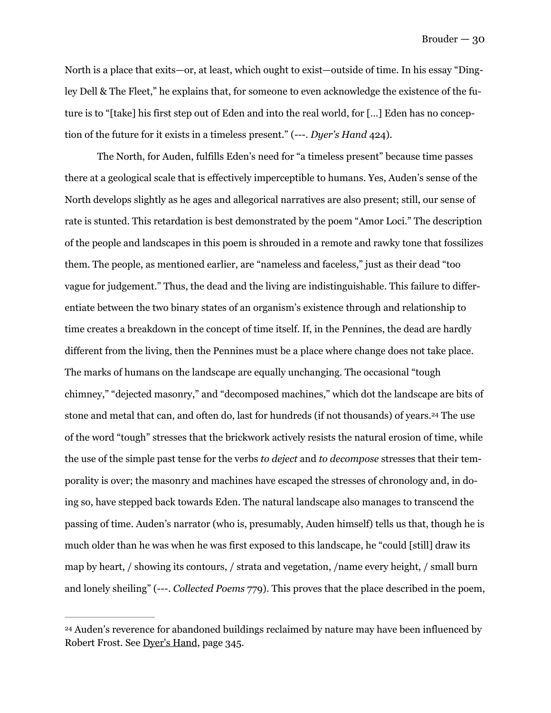North is a place that exits—or, at least, which ought to exist—outside of time. In his essay "Dingley Dell & The Fleet," he explains that, for someone to even acknowledge the existence of the future is to "[take] his first step out of Eden and into the real world, for […] Eden has no conception of the future for it exists in a timeless present." (---. *Dyer's Hand* 424).

 The North, for Auden, fulfills Eden's need for "a timeless present" because time passes there at a geological scale that is effectively imperceptible to humans. Yes, Auden's sense of the North develops slightly as he ages and allegorical narratives are also present; still, our sense of rate is stunted. This retardation is best demonstrated by the poem "Amor Loci." The description of the people and landscapes in this poem is shrouded in a remote and rawky tone that fossilizes them. The people, as mentioned earlier, are "nameless and faceless," just as their dead "too vague for judgement." Thus, the dead and the living are indistinguishable. This failure to differentiate between the two binary states of an organism's existence through and relationship to time creates a breakdown in the concept of time itself. If, in the Pennines, the dead are hardly different from the living, then the Pennines must be a place where change does not take place. The marks of humans on the landscape are equally unchanging. The occasional "tough chimney," "dejected masonry," and "decomposed machines," which dot the landscape are bits of stone and metal that can, and often do, last for hundreds (if not thousands) of years.<sup>[24](#page-30-0)</sup> The use of the word "tough" stresses that the brickwork actively resists the natural erosion of time, while the use of the simple past tense for the verbs *to deject* and *to decompose* stresses that their temporality is over; the masonry and machines have escaped the stresses of chronology and, in doing so, have stepped back towards Eden. The natural landscape also manages to transcend the passing of time. Auden's narrator (who is, presumably, Auden himself) tells us that, though he is much older than he was when he was first exposed to this landscape, he "could [still] draw its map by heart, / showing its contours, / strata and vegetation, /name every height, / small burn and lonely sheiling" (---. *Collected Poems* 779). This proves that the place described in the poem,

<span id="page-30-1"></span><span id="page-30-0"></span><sup>&</sup>lt;sup>[24](#page-30-1)</sup> Auden's reverence for abandoned buildings reclaimed by nature may have been influenced by Robert Frost. See Dyer's Hand, page 345.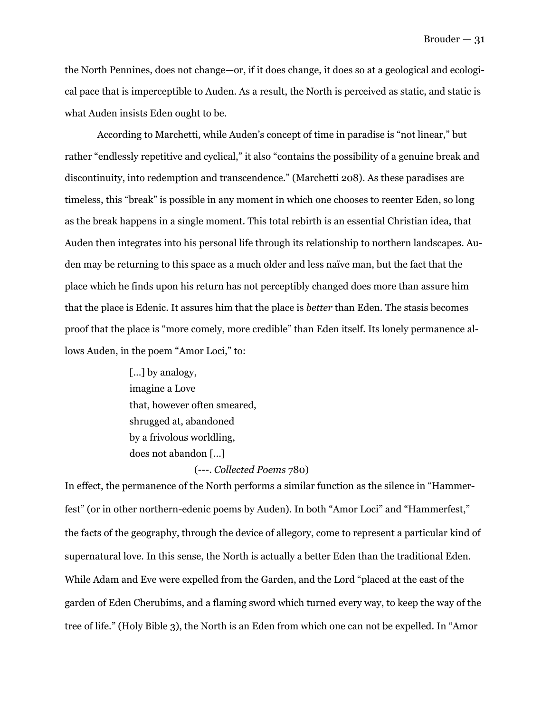the North Pennines, does not change—or, if it does change, it does so at a geological and ecological pace that is imperceptible to Auden. As a result, the North is perceived as static, and static is what Auden insists Eden ought to be.

 According to Marchetti, while Auden's concept of time in paradise is "not linear," but rather "endlessly repetitive and cyclical," it also "contains the possibility of a genuine break and discontinuity, into redemption and transcendence." (Marchetti 208). As these paradises are timeless, this "break" is possible in any moment in which one chooses to reenter Eden, so long as the break happens in a single moment. This total rebirth is an essential Christian idea, that Auden then integrates into his personal life through its relationship to northern landscapes. Auden may be returning to this space as a much older and less naïve man, but the fact that the place which he finds upon his return has not perceptibly changed does more than assure him that the place is Edenic. It assures him that the place is *better* than Eden. The stasis becomes proof that the place is "more comely, more credible" than Eden itself. Its lonely permanence allows Auden, in the poem "Amor Loci," to:

> [...] by analogy, imagine a Love that, however often smeared, shrugged at, abandoned by a frivolous worldling, does not abandon […]

#### (---. *Collected Poems* 780)

In effect, the permanence of the North performs a similar function as the silence in "Hammerfest" (or in other northern-edenic poems by Auden). In both "Amor Loci" and "Hammerfest," the facts of the geography, through the device of allegory, come to represent a particular kind of supernatural love. In this sense, the North is actually a better Eden than the traditional Eden. While Adam and Eve were expelled from the Garden, and the Lord "placed at the east of the garden of Eden Cherubims, and a flaming sword which turned every way, to keep the way of the tree of life." (Holy Bible 3), the North is an Eden from which one can not be expelled. In "Amor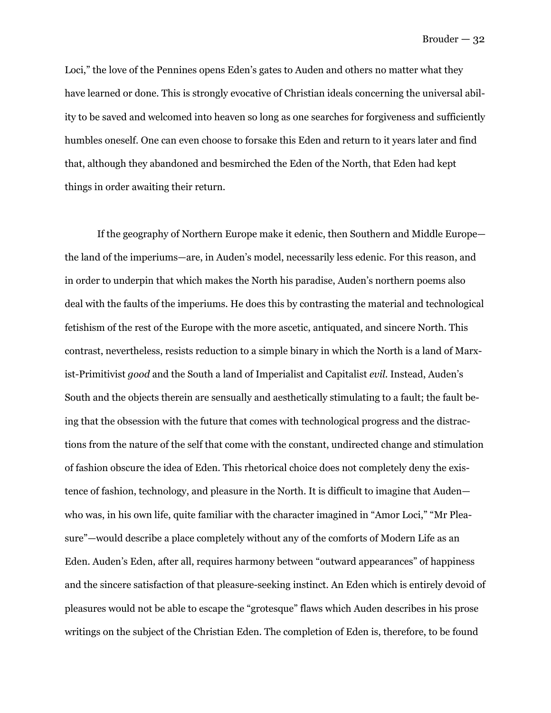Loci," the love of the Pennines opens Eden's gates to Auden and others no matter what they have learned or done. This is strongly evocative of Christian ideals concerning the universal ability to be saved and welcomed into heaven so long as one searches for forgiveness and sufficiently humbles oneself. One can even choose to forsake this Eden and return to it years later and find that, although they abandoned and besmirched the Eden of the North, that Eden had kept things in order awaiting their return.

 If the geography of Northern Europe make it edenic, then Southern and Middle Europe the land of the imperiums—are, in Auden's model, necessarily less edenic. For this reason, and in order to underpin that which makes the North his paradise, Auden's northern poems also deal with the faults of the imperiums. He does this by contrasting the material and technological fetishism of the rest of the Europe with the more ascetic, antiquated, and sincere North. This contrast, nevertheless, resists reduction to a simple binary in which the North is a land of Marxist-Primitivist *good* and the South a land of Imperialist and Capitalist *evil*. Instead, Auden's South and the objects therein are sensually and aesthetically stimulating to a fault; the fault being that the obsession with the future that comes with technological progress and the distractions from the nature of the self that come with the constant, undirected change and stimulation of fashion obscure the idea of Eden. This rhetorical choice does not completely deny the existence of fashion, technology, and pleasure in the North. It is difficult to imagine that Auden who was, in his own life, quite familiar with the character imagined in "Amor Loci," "Mr Pleasure"—would describe a place completely without any of the comforts of Modern Life as an Eden. Auden's Eden, after all, requires harmony between "outward appearances" of happiness and the sincere satisfaction of that pleasure-seeking instinct. An Eden which is entirely devoid of pleasures would not be able to escape the "grotesque" flaws which Auden describes in his prose writings on the subject of the Christian Eden. The completion of Eden is, therefore, to be found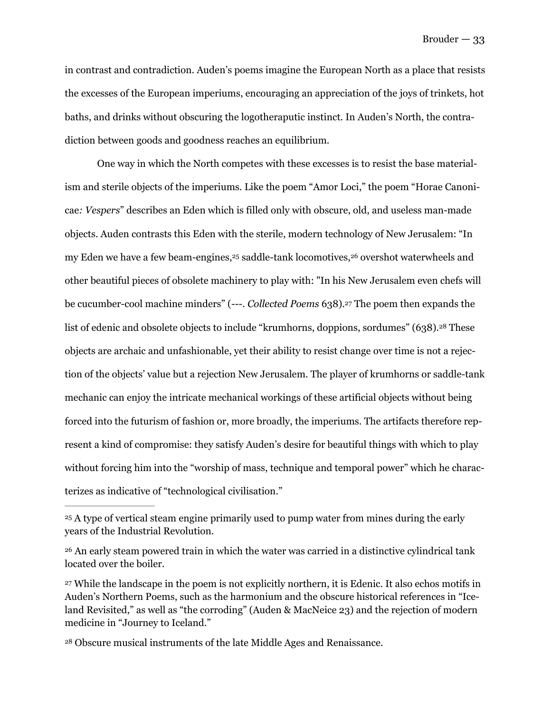in contrast and contradiction. Auden's poems imagine the European North as a place that resists the excesses of the European imperiums, encouraging an appreciation of the joys of trinkets, hot baths, and drinks without obscuring the logotheraputic instinct. In Auden's North, the contradiction between goods and goodness reaches an equilibrium.

<span id="page-33-7"></span><span id="page-33-6"></span><span id="page-33-5"></span><span id="page-33-4"></span> One way in which the North competes with these excesses is to resist the base materialism and sterile objects of the imperiums. Like the poem "Amor Loci," the poem "Horae Canonicae*: Vespers*" describes an Eden which is filled only with obscure, old, and useless man-made objects. Auden contrasts this Eden with the sterile, modern technology of New Jerusalem: "In my Eden we have a few beam-engines[,](#page-33-0)<sup>[25](#page-33-0)</sup> saddle-tank locomotives, <sup>26</sup> overshot waterwheels and other beautiful pieces of obsolete machinery to play with: "In his New Jerusalem even chefs will be cucumber-cool machine minders" (---[.](#page-33-2) *Collected Poems* 638).<sup>[27](#page-33-2)</sup> The poem then expands the list of edenic and obsolete objects to include "krumhorns, doppions, sordumes" (638).<sup>[28](#page-33-3)</sup> These objects are archaic and unfashionable, yet their ability to resist change over time is not a rejection of the objects' value but a rejection New Jerusalem. The player of krumhorns or saddle-tank mechanic can enjoy the intricate mechanical workings of these artificial objects without being forced into the futurism of fashion or, more broadly, the imperiums. The artifacts therefore represent a kind of compromise: they satisfy Auden's desire for beautiful things with which to play without forcing him into the "worship of mass, technique and temporal power" which he characterizes as indicative of "technological civilisation."

<span id="page-33-0"></span><sup>&</sup>lt;sup>25</sup>A type of vertical steam engine primarily used to pump water from mines during the early years of the Industrial Revolution.

<span id="page-33-1"></span><sup>&</sup>lt;sup>[26](#page-33-5)</sup> An early steam powered train in which the water was carried in a distinctive cylindrical tank located over the boiler.

<span id="page-33-2"></span><sup>&</sup>lt;sup>[27](#page-33-6)</sup> While the landscape in the poem is not explicitly northern, it is Edenic. It also echos motifs in Auden's Northern Poems, such as the harmonium and the obscure historical references in "Iceland Revisited," as well as "the corroding" (Auden & MacNeice 23) and the rejection of modern medicine in "Journey to Iceland."

<span id="page-33-3"></span>Obscure musical instruments of the late Middle Ages and Renaissance. [28](#page-33-7)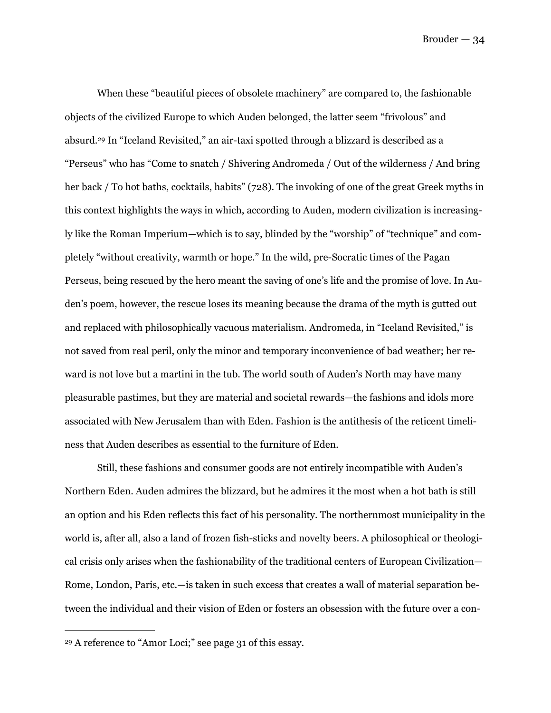<span id="page-34-1"></span> When these "beautiful pieces of obsolete machinery" are compared to, the fashionable objects of the civilized Europe to which Auden belonged, the latter seem "frivolous" and absurd.<sup>29</sup>In "Iceland Revisited," an air-taxi spotted through a blizzard is described as a "Perseus" who has "Come to snatch / Shivering Andromeda / Out of the wilderness / And bring her back / To hot baths, cocktails, habits" (728). The invoking of one of the great Greek myths in this context highlights the ways in which, according to Auden, modern civilization is increasingly like the Roman Imperium—which is to say, blinded by the "worship" of "technique" and completely "without creativity, warmth or hope." In the wild, pre-Socratic times of the Pagan Perseus, being rescued by the hero meant the saving of one's life and the promise of love. In Auden's poem, however, the rescue loses its meaning because the drama of the myth is gutted out and replaced with philosophically vacuous materialism. Andromeda, in "Iceland Revisited," is not saved from real peril, only the minor and temporary inconvenience of bad weather; her reward is not love but a martini in the tub. The world south of Auden's North may have many pleasurable pastimes, but they are material and societal rewards—the fashions and idols more associated with New Jerusalem than with Eden. Fashion is the antithesis of the reticent timeliness that Auden describes as essential to the furniture of Eden.

 Still, these fashions and consumer goods are not entirely incompatible with Auden's Northern Eden. Auden admires the blizzard, but he admires it the most when a hot bath is still an option and his Eden reflects this fact of his personality. The northernmost municipality in the world is, after all, also a land of frozen fish-sticks and novelty beers. A philosophical or theological crisis only arises when the fashionability of the traditional centers of European Civilization— Rome, London, Paris, etc.—is taken in such excess that creates a wall of material separation between the individual and their vision of Eden or fosters an obsession with the future over a con-

<span id="page-34-0"></span>A reference to "Amor Loci;" see page 31 of this essay. [29](#page-34-1)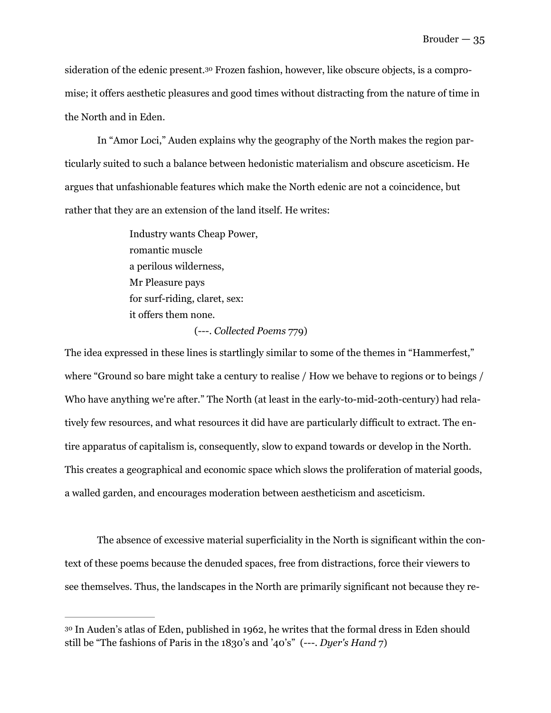<span id="page-35-1"></span>sideration of the edenic present.[30](#page-35-0) Frozen fashion, however, like obscure objects, is a compromise; it offers aesthetic pleasures and good times without distracting from the nature of time in the North and in Eden.

 In "Amor Loci," Auden explains why the geography of the North makes the region particularly suited to such a balance between hedonistic materialism and obscure asceticism. He argues that unfashionable features which make the North edenic are not a coincidence, but rather that they are an extension of the land itself. He writes:

> Industry wants Cheap Power, romantic muscle a perilous wilderness, Mr Pleasure pays for surf-riding, claret, sex: it offers them none.

#### (---. *Collected Poems* 779)

The idea expressed in these lines is startlingly similar to some of the themes in "Hammerfest," where "Ground so bare might take a century to realise / How we behave to regions or to beings / Who have anything we're after." The North (at least in the early-to-mid-20th-century) had relatively few resources, and what resources it did have are particularly difficult to extract. The entire apparatus of capitalism is, consequently, slow to expand towards or develop in the North. This creates a geographical and economic space which slows the proliferation of material goods, a walled garden, and encourages moderation between aestheticism and asceticism.

 The absence of excessive material superficiality in the North is significant within the context of these poems because the denuded spaces, free from distractions, force their viewers to see themselves. Thus, the landscapes in the North are primarily significant not because they re-

<span id="page-35-0"></span><sup>&</sup>lt;sup>30</sup>In Auden's atlas of Eden, published in 1962, he writes that the formal dress in Eden should still be "The fashions of Paris in the 1830's and '40's" (---. *Dyer's Hand* 7)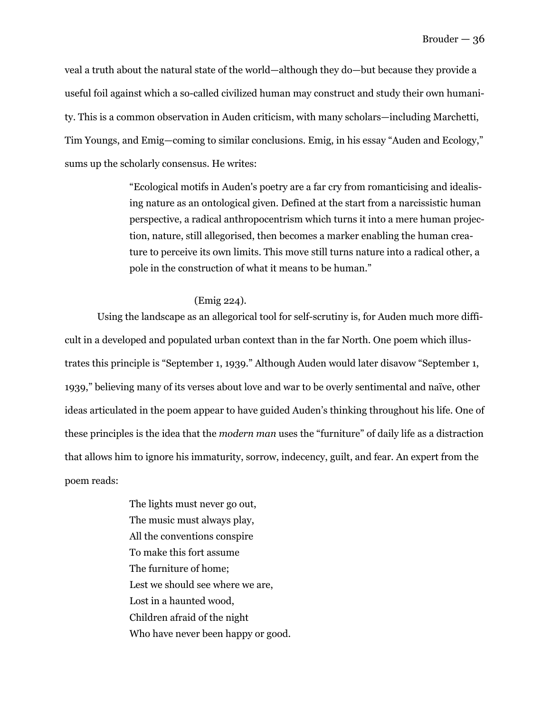veal a truth about the natural state of the world—although they do—but because they provide a useful foil against which a so-called civilized human may construct and study their own humanity. This is a common observation in Auden criticism, with many scholars—including Marchetti, Tim Youngs, and Emig—coming to similar conclusions. Emig, in his essay "Auden and Ecology," sums up the scholarly consensus. He writes:

> "Ecological motifs in Auden's poetry are a far cry from romanticising and idealising nature as an ontological given. Defined at the start from a narcissistic human perspective, a radical anthropocentrism which turns it into a mere human projection, nature, still allegorised, then becomes a marker enabling the human creature to perceive its own limits. This move still turns nature into a radical other, a pole in the construction of what it means to be human."

#### (Emig 224).

 Using the landscape as an allegorical tool for self-scrutiny is, for Auden much more difficult in a developed and populated urban context than in the far North. One poem which illustrates this principle is "September 1, 1939." Although Auden would later disavow "September 1, 1939," believing many of its verses about love and war to be overly sentimental and naïve, other ideas articulated in the poem appear to have guided Auden's thinking throughout his life. One of these principles is the idea that the *modern man* uses the "furniture" of daily life as a distraction that allows him to ignore his immaturity, sorrow, indecency, guilt, and fear. An expert from the poem reads:

> The lights must never go out, The music must always play, All the conventions conspire To make this fort assume The furniture of home; Lest we should see where we are, Lost in a haunted wood, Children afraid of the night Who have never been happy or good.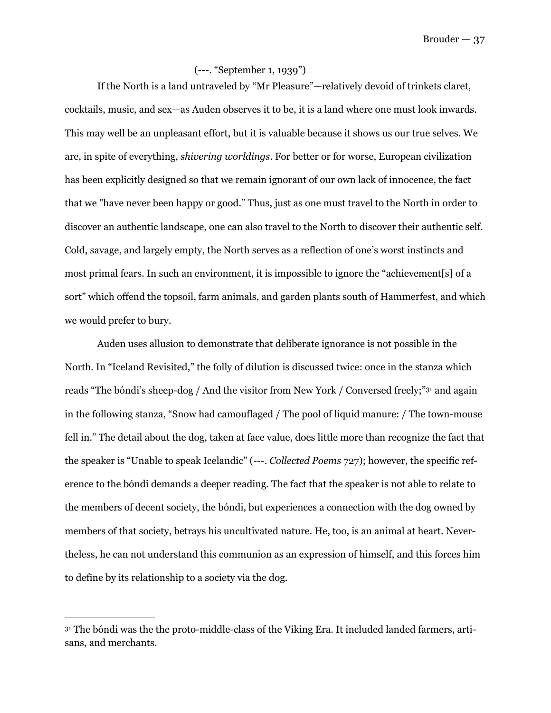#### (---. "September 1, 1939")

 If the North is a land untraveled by "Mr Pleasure"—relatively devoid of trinkets claret, cocktails, music, and sex—as Auden observes it to be, it is a land where one must look inwards. This may well be an unpleasant effort, but it is valuable because it shows us our true selves. We are, in spite of everything, *shivering worldings*. For better or for worse, European civilization has been explicitly designed so that we remain ignorant of our own lack of innocence, the fact that we "have never been happy or good." Thus, just as one must travel to the North in order to discover an authentic landscape, one can also travel to the North to discover their authentic self. Cold, savage, and largely empty, the North serves as a reflection of one's worst instincts and most primal fears. In such an environment, it is impossible to ignore the "achievement[s] of a sort" which offend the topsoil, farm animals, and garden plants south of Hammerfest, and which we would prefer to bury.

<span id="page-37-1"></span> Auden uses allusion to demonstrate that deliberate ignorance is not possible in the North. In "Iceland Revisited," the folly of dilution is discussed twice: once in the stanza which reads "The bóndi's sheep-dog / And the visitor from New York / Conversed freely;"<sup>[31](#page-37-0)</sup> and again in the following stanza, "Snow had camouflaged / The pool of liquid manure: / The town-mouse fell in." The detail about the dog, taken at face value, does little more than recognize the fact that the speaker is "Unable to speak Icelandic" (---. *Collected Poems* 727); however, the specific reference to the bóndi demands a deeper reading. The fact that the speaker is not able to relate to the members of decent society, the bóndi, but experiences a connection with the dog owned by members of that society, betrays his uncultivated nature. He, too, is an animal at heart. Nevertheless, he can not understand this communion as an expression of himself, and this forces him to define by its relationship to a society via the dog.

<span id="page-37-0"></span>[<sup>31</sup>](#page-37-1) The bóndi was the the proto-middle-class of the Viking Era. It included landed farmers, artisans, and merchants.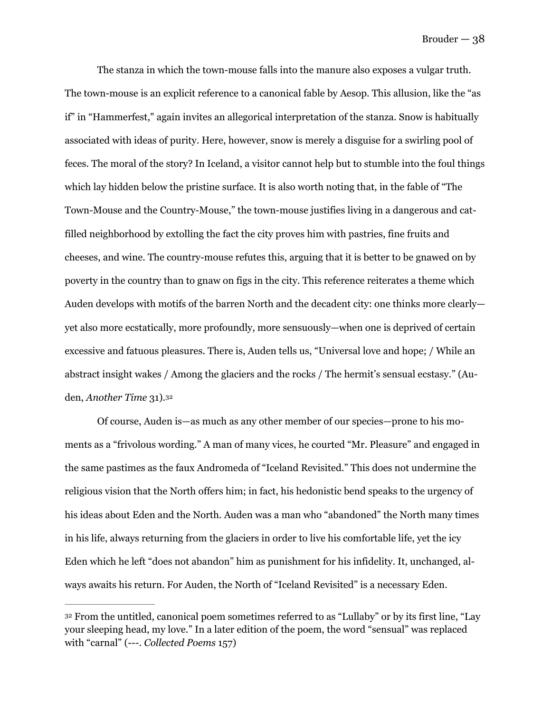The stanza in which the town-mouse falls into the manure also exposes a vulgar truth. The town-mouse is an explicit reference to a canonical fable by Aesop. This allusion, like the "as if" in "Hammerfest," again invites an allegorical interpretation of the stanza. Snow is habitually associated with ideas of purity. Here, however, snow is merely a disguise for a swirling pool of feces. The moral of the story? In Iceland, a visitor cannot help but to stumble into the foul things which lay hidden below the pristine surface. It is also worth noting that, in the fable of "The Town-Mouse and the Country-Mouse," the town-mouse justifies living in a dangerous and catfilled neighborhood by extolling the fact the city proves him with pastries, fine fruits and cheeses, and wine. The country-mouse refutes this, arguing that it is better to be gnawed on by poverty in the country than to gnaw on figs in the city. This reference reiterates a theme which Auden develops with motifs of the barren North and the decadent city: one thinks more clearly yet also more ecstatically, more profoundly, more sensuously—when one is deprived of certain excessive and fatuous pleasures. There is, Auden tells us, "Universal love and hope; / While an abstract insight wakes / Among the glaciers and the rocks / The hermit's sensual ecstasy." (Auden, *Another Time* 31).[32](#page-38-0)

<span id="page-38-1"></span> Of course, Auden is—as much as any other member of our species—prone to his moments as a "frivolous wording." A man of many vices, he courted "Mr. Pleasure" and engaged in the same pastimes as the faux Andromeda of "Iceland Revisited." This does not undermine the religious vision that the North offers him; in fact, his hedonistic bend speaks to the urgency of his ideas about Eden and the North. Auden was a man who "abandoned" the North many times in his life, always returning from the glaciers in order to live his comfortable life, yet the icy Eden which he left "does not abandon" him as punishment for his infidelity. It, unchanged, always awaits his return. For Auden, the North of "Iceland Revisited" is a necessary Eden.

<span id="page-38-0"></span><sup>&</sup>lt;sup>[32](#page-38-1)</sup> From the untitled, canonical poem sometimes referred to as "Lullaby" or by its first line, "Lay your sleeping head, my love." In a later edition of the poem, the word "sensual" was replaced with "carnal" (---. *Collected Poems* 157)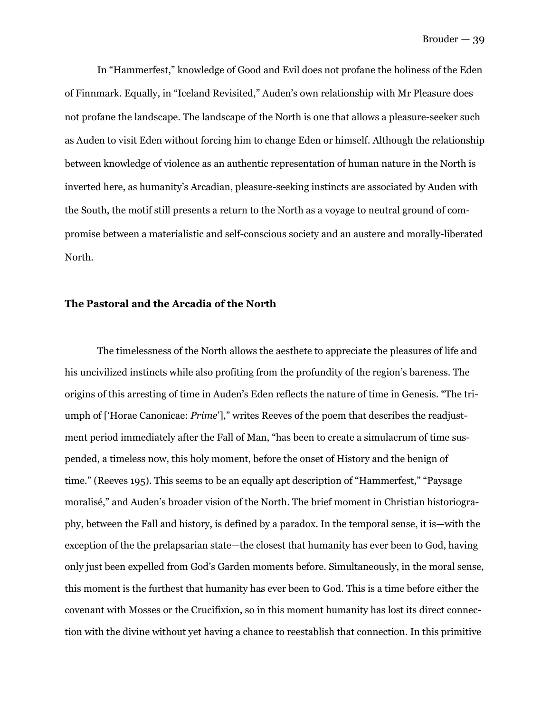In "Hammerfest," knowledge of Good and Evil does not profane the holiness of the Eden of Finnmark. Equally, in "Iceland Revisited," Auden's own relationship with Mr Pleasure does not profane the landscape. The landscape of the North is one that allows a pleasure-seeker such as Auden to visit Eden without forcing him to change Eden or himself. Although the relationship between knowledge of violence as an authentic representation of human nature in the North is inverted here, as humanity's Arcadian, pleasure-seeking instincts are associated by Auden with the South, the motif still presents a return to the North as a voyage to neutral ground of compromise between a materialistic and self-conscious society and an austere and morally-liberated North.

#### **The Pastoral and the Arcadia of the North**

 The timelessness of the North allows the aesthete to appreciate the pleasures of life and his uncivilized instincts while also profiting from the profundity of the region's bareness. The origins of this arresting of time in Auden's Eden reflects the nature of time in Genesis. "The triumph of ['Horae Canonicae: *Prime'*]," writes Reeves of the poem that describes the readjustment period immediately after the Fall of Man, "has been to create a simulacrum of time suspended, a timeless now, this holy moment, before the onset of History and the benign of time." (Reeves 195). This seems to be an equally apt description of "Hammerfest," "Paysage moralisé," and Auden's broader vision of the North. The brief moment in Christian historiography, between the Fall and history, is defined by a paradox. In the temporal sense, it is—with the exception of the the prelapsarian state—the closest that humanity has ever been to God, having only just been expelled from God's Garden moments before. Simultaneously, in the moral sense, this moment is the furthest that humanity has ever been to God. This is a time before either the covenant with Mosses or the Crucifixion, so in this moment humanity has lost its direct connection with the divine without yet having a chance to reestablish that connection. In this primitive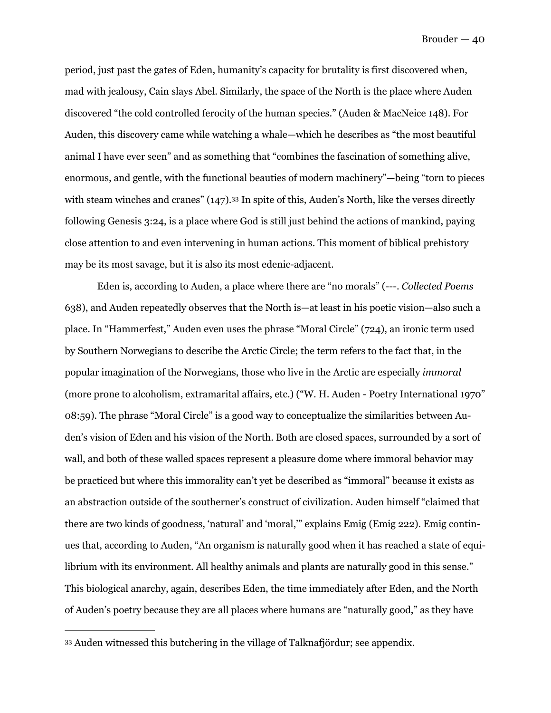period, just past the gates of Eden, humanity's capacity for brutality is first discovered when, mad with jealousy, Cain slays Abel. Similarly, the space of the North is the place where Auden discovered "the cold controlled ferocity of the human species." (Auden & MacNeice 148). For Auden, this discovery came while watching a whale—which he describes as "the most beautiful animal I have ever seen" and as something that "combines the fascination of something alive, enormous, and gentle, with the functional beauties of modern machinery"—being "torn to pieces with steam winches and cranes" (147)[.](#page-40-0)<sup>[33](#page-40-0)</sup> In spite of this, Auden's North, like the verses directly following Genesis 3:24, is a place where God is still just behind the actions of mankind, paying close attention to and even intervening in human actions. This moment of biblical prehistory may be its most savage, but it is also its most edenic-adjacent.

<span id="page-40-1"></span> Eden is, according to Auden, a place where there are "no morals" (---. *Collected Poems* 638), and Auden repeatedly observes that the North is—at least in his poetic vision—also such a place. In "Hammerfest," Auden even uses the phrase "Moral Circle" (724), an ironic term used by Southern Norwegians to describe the Arctic Circle; the term refers to the fact that, in the popular imagination of the Norwegians, those who live in the Arctic are especially *immoral*  (more prone to alcoholism, extramarital affairs, etc.) ("W. H. Auden - Poetry International 1970" 08:59). The phrase "Moral Circle" is a good way to conceptualize the similarities between Auden's vision of Eden and his vision of the North. Both are closed spaces, surrounded by a sort of wall, and both of these walled spaces represent a pleasure dome where immoral behavior may be practiced but where this immorality can't yet be described as "immoral" because it exists as an abstraction outside of the southerner's construct of civilization. Auden himself "claimed that there are two kinds of goodness, 'natural' and 'moral,'" explains Emig (Emig 222). Emig continues that, according to Auden, "An organism is naturally good when it has reached a state of equilibrium with its environment. All healthy animals and plants are naturally good in this sense." This biological anarchy, again, describes Eden, the time immediately after Eden, and the North of Auden's poetry because they are all places where humans are "naturally good," as they have

<span id="page-40-0"></span>Auden witnessed this butchering in the village of Talknafjördur; see appendix. [33](#page-40-1)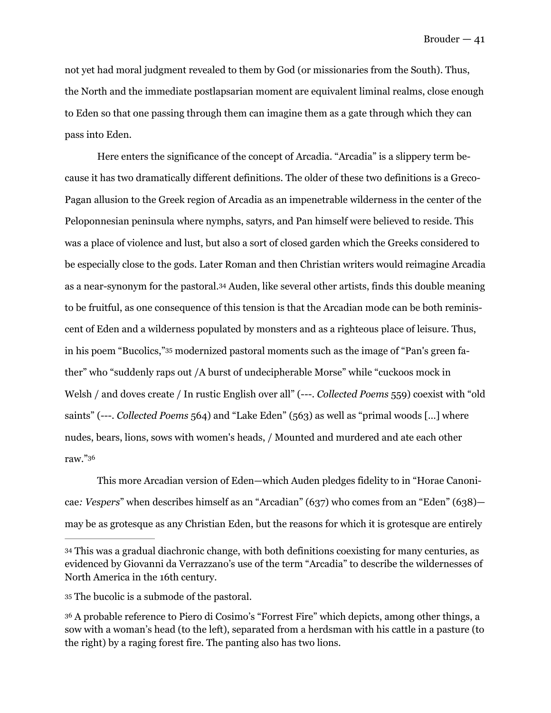not yet had moral judgment revealed to them by God (or missionaries from the South). Thus, the North and the immediate postlapsarian moment are equivalent liminal realms, close enough to Eden so that one passing through them can imagine them as a gate through which they can pass into Eden.

<span id="page-41-3"></span> Here enters the significance of the concept of Arcadia. "Arcadia" is a slippery term because it has two dramatically different definitions. The older of these two definitions is a Greco-Pagan allusion to the Greek region of Arcadia as an impenetrable wilderness in the center of the Peloponnesian peninsula where nymphs, satyrs, and Pan himself were believed to reside. This was a place of violence and lust, but also a sort of closed garden which the Greeks considered to be especially close to the gods. Later Roman and then Christian writers would reimagine Arcadia as a near-synonym for the pastoral[.](#page-41-0)<sup>[34](#page-41-0)</sup> Auden, like several other artists, finds this double meaning to be fruitful, as one consequence of this tension is that the Arcadian mode can be both reminiscent of Eden and a wilderness populated by monsters and as a righteous place of leisure. Thus, in his poem "Bucolics,"[35](#page-41-1) modernized pastoral moments such as the image of "Pan's green father" who "suddenly raps out /A burst of undecipherable Morse" while "cuckoos mock in Welsh / and doves create / In rustic English over all" (---. *Collected Poems* 559) coexist with "old saints" (---. *Collected Poems* 564) and "Lake Eden" (563) as well as "primal woods […] where nudes, bears, lions, sows with women's heads, / Mounted and murdered and ate each other raw."[36](#page-41-2)

<span id="page-41-5"></span><span id="page-41-4"></span>This more Arcadian version of Eden—which Auden pledges fidelity to in "Horae Canonicae*: Vespers*" when describes himself as an "Arcadian" (637) who comes from an "Eden" (638) may be as grotesque as any Christian Eden, but the reasons for which it is grotesque are entirely

<span id="page-41-1"></span>The bucolic is a submode of the pastoral. [35](#page-41-4)

<span id="page-41-0"></span>This was a gradual diachronic change, with both definitions coexisting for many centuries, as [34](#page-41-3) evidenced by Giovanni da Verrazzano's use of the term "Arcadia" to describe the wildernesses of North America in the 16th century.

<span id="page-41-2"></span>A probable reference to Piero di Cosimo's "Forrest Fire" which depicts, among other things, a [36](#page-41-5) sow with a woman's head (to the left), separated from a herdsman with his cattle in a pasture (to the right) by a raging forest fire. The panting also has two lions.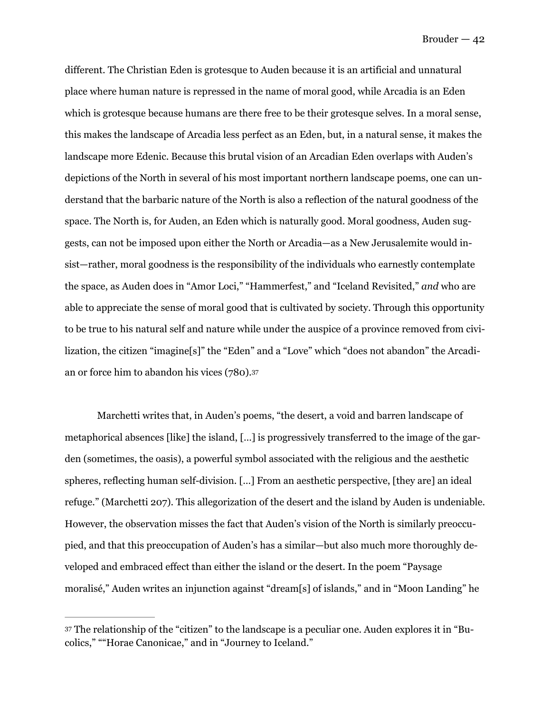different. The Christian Eden is grotesque to Auden because it is an artificial and unnatural place where human nature is repressed in the name of moral good, while Arcadia is an Eden which is grotesque because humans are there free to be their grotesque selves. In a moral sense, this makes the landscape of Arcadia less perfect as an Eden, but, in a natural sense, it makes the landscape more Edenic. Because this brutal vision of an Arcadian Eden overlaps with Auden's depictions of the North in several of his most important northern landscape poems, one can understand that the barbaric nature of the North is also a reflection of the natural goodness of the space. The North is, for Auden, an Eden which is naturally good. Moral goodness, Auden suggests, can not be imposed upon either the North or Arcadia—as a New Jerusalemite would insist—rather, moral goodness is the responsibility of the individuals who earnestly contemplate the space, as Auden does in "Amor Loci," "Hammerfest," and "Iceland Revisited," *and* who are able to appreciate the sense of moral good that is cultivated by society. Through this opportunity to be true to his natural self and nature while under the auspice of a province removed from civilization, the citizen "imagine[s]" the "Eden" and a "Love" which "does not abandon" the Arcadian or force him to abandon his vices (780).[37](#page-42-0)

<span id="page-42-1"></span> Marchetti writes that, in Auden's poems, "the desert, a void and barren landscape of metaphorical absences [like] the island, […] is progressively transferred to the image of the garden (sometimes, the oasis), a powerful symbol associated with the religious and the aesthetic spheres, reflecting human self-division. […] From an aesthetic perspective, [they are] an ideal refuge." (Marchetti 207). This allegorization of the desert and the island by Auden is undeniable. However, the observation misses the fact that Auden's vision of the North is similarly preoccupied, and that this preoccupation of Auden's has a similar—but also much more thoroughly developed and embraced effect than either the island or the desert. In the poem "Paysage moralisé," Auden writes an injunction against "dream[s] of islands," and in "Moon Landing" he

<span id="page-42-0"></span>[<sup>37</sup>](#page-42-1) The relationship of the "citizen" to the landscape is a peculiar one. Auden explores it in "Bucolics," ""Horae Canonicae," and in "Journey to Iceland."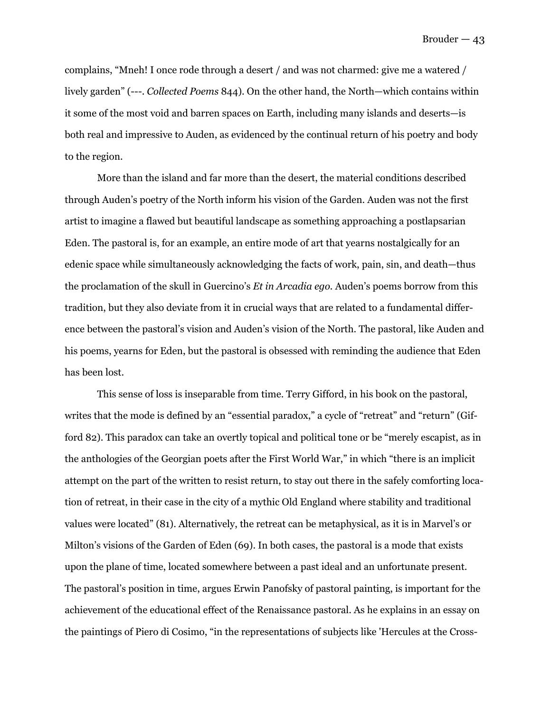complains, "Mneh! I once rode through a desert / and was not charmed: give me a watered / lively garden" (---. *Collected Poems* 844). On the other hand, the North—which contains within it some of the most void and barren spaces on Earth, including many islands and deserts—is both real and impressive to Auden, as evidenced by the continual return of his poetry and body to the region.

 More than the island and far more than the desert, the material conditions described through Auden's poetry of the North inform his vision of the Garden. Auden was not the first artist to imagine a flawed but beautiful landscape as something approaching a postlapsarian Eden. The pastoral is, for an example, an entire mode of art that yearns nostalgically for an edenic space while simultaneously acknowledging the facts of work, pain, sin, and death—thus the proclamation of the skull in Guercino's *Et in Arcadia ego.* Auden's poems borrow from this tradition, but they also deviate from it in crucial ways that are related to a fundamental difference between the pastoral's vision and Auden's vision of the North. The pastoral, like Auden and his poems, yearns for Eden, but the pastoral is obsessed with reminding the audience that Eden has been lost.

 This sense of loss is inseparable from time. Terry Gifford, in his book on the pastoral, writes that the mode is defined by an "essential paradox," a cycle of "retreat" and "return" (Gifford 82). This paradox can take an overtly topical and political tone or be "merely escapist, as in the anthologies of the Georgian poets after the First World War," in which "there is an implicit attempt on the part of the written to resist return, to stay out there in the safely comforting location of retreat, in their case in the city of a mythic Old England where stability and traditional values were located" (81). Alternatively, the retreat can be metaphysical, as it is in Marvel's or Milton's visions of the Garden of Eden (69). In both cases, the pastoral is a mode that exists upon the plane of time, located somewhere between a past ideal and an unfortunate present. The pastoral's position in time, argues Erwin Panofsky of pastoral painting, is important for the achievement of the educational effect of the Renaissance pastoral. As he explains in an essay on the paintings of Piero di Cosimo, "in the representations of subjects like 'Hercules at the Cross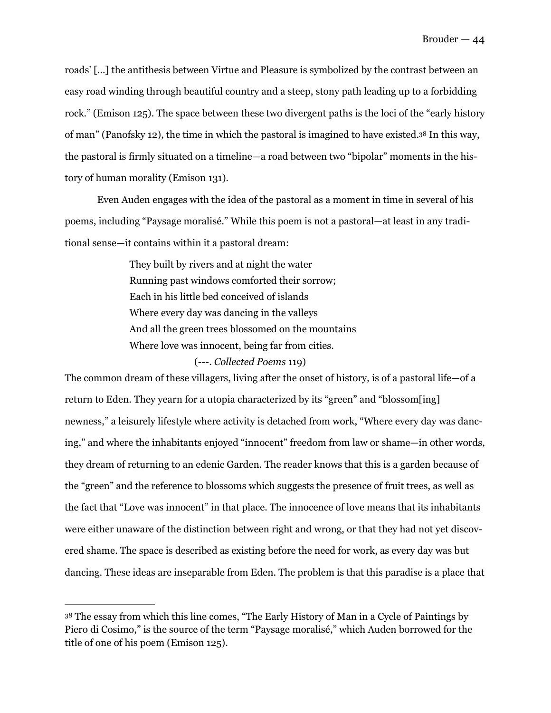roads' […] the antithesis between Virtue and Pleasure is symbolized by the contrast between an easy road winding through beautiful country and a steep, stony path leading up to a forbidding rock." (Emison 125). The space between these two divergent paths is the loci of the "early history of man" (Panofsky 12), the time in which the pastoral is imagined to have existed.<sup>[38](#page-44-0)</sup> In this way, the pastoral is firmly situated on a timeline—a road between two "bipolar" moments in the history of human morality (Emison 131).

 Even Auden engages with the idea of the pastoral as a moment in time in several of his poems, including "Paysage moralisé." While this poem is not a pastoral—at least in any traditional sense—it contains within it a pastoral dream:

> <span id="page-44-1"></span>They built by rivers and at night the water Running past windows comforted their sorrow; Each in his little bed conceived of islands Where every day was dancing in the valleys And all the green trees blossomed on the mountains Where love was innocent, being far from cities.

#### (---. *Collected Poems* 119)

The common dream of these villagers, living after the onset of history, is of a pastoral life—of a return to Eden. They yearn for a utopia characterized by its "green" and "blossom[ing] newness," a leisurely lifestyle where activity is detached from work, "Where every day was dancing," and where the inhabitants enjoyed "innocent" freedom from law or shame—in other words, they dream of returning to an edenic Garden. The reader knows that this is a garden because of the "green" and the reference to blossoms which suggests the presence of fruit trees, as well as the fact that "Love was innocent" in that place. The innocence of love means that its inhabitants were either unaware of the distinction between right and wrong, or that they had not yet discovered shame. The space is described as existing before the need for work, as every day was but dancing. These ideas are inseparable from Eden. The problem is that this paradise is a place that

<span id="page-44-0"></span>[<sup>38</sup>](#page-44-1) The essay from which this line comes, "The Early History of Man in a Cycle of Paintings by Piero di Cosimo," is the source of the term "Paysage moralisé," which Auden borrowed for the title of one of his poem (Emison 125).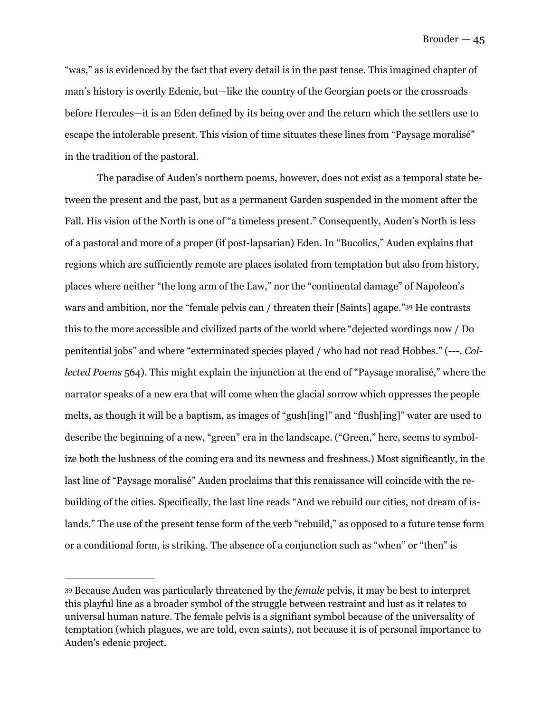"was," as is evidenced by the fact that every detail is in the past tense. This imagined chapter of man's history is overtly Edenic, but—like the country of the Georgian poets or the crossroads before Hercules—it is an Eden defined by its being over and the return which the settlers use to escape the intolerable present. This vision of time situates these lines from "Paysage moralisé" in the tradition of the pastoral.

<span id="page-45-1"></span> The paradise of Auden's northern poems, however, does not exist as a temporal state between the present and the past, but as a permanent Garden suspended in the moment after the Fall. His vision of the North is one of "a timeless present." Consequently, Auden's North is less of a pastoral and more of a proper (if post-lapsarian) Eden. In "Bucolics," Auden explains that regions which are sufficiently remote are places isolated from temptation but also from history, places where neither "the long arm of the Law," nor the "continental damage" of Napoleon's wars and ambition, nor the "female pelvis can / threaten their [Saints] agape.["](#page-45-0) [39](#page-45-0) He contrasts this to the more accessible and civilized parts of the world where "dejected wordings now / Do penitential jobs" and where "exterminated species played / who had not read Hobbes." (---. *Collected Poems* 564). This might explain the injunction at the end of "Paysage moralisé," where the narrator speaks of a new era that will come when the glacial sorrow which oppresses the people melts, as though it will be a baptism, as images of "gush[ing]" and "flush[ing]" water are used to describe the beginning of a new, "green" era in the landscape. ("Green," here, seems to symbolize both the lushness of the coming era and its newness and freshness.) Most significantly, in the last line of "Paysage moralisé" Auden proclaims that this renaissance will coincide with the rebuilding of the cities. Specifically, the last line reads "And we rebuild our cities, not dream of islands." The use of the present tense form of the verb "rebuild," as opposed to a future tense form or a conditional form, is striking. The absence of a conjunction such as "when" or "then" is

<span id="page-45-0"></span>Because Auden was particularly threatened by the *female* pelvis, it may be best to interpret [39](#page-45-1) this playful line as a broader symbol of the struggle between restraint and lust as it relates to universal human nature. The female pelvis is a signifiant symbol because of the universality of temptation (which plagues, we are told, even saints), not because it is of personal importance to Auden's edenic project.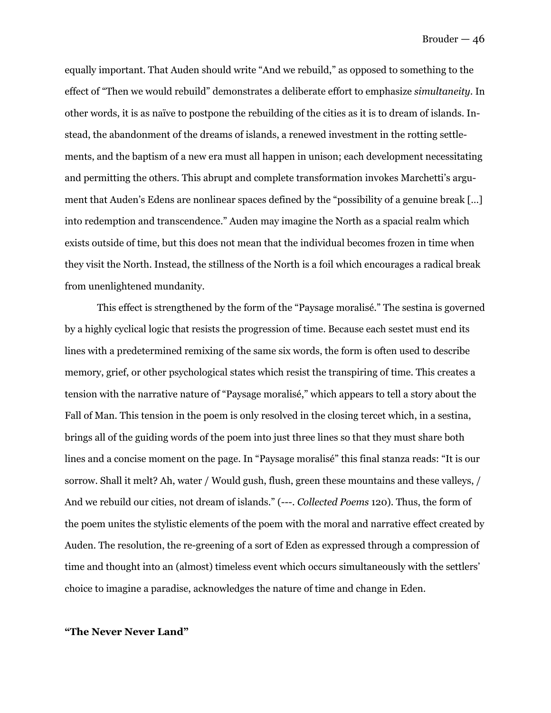equally important. That Auden should write "And we rebuild," as opposed to something to the effect of "Then we would rebuild" demonstrates a deliberate effort to emphasize *simultaneity*. In other words, it is as naïve to postpone the rebuilding of the cities as it is to dream of islands. Instead, the abandonment of the dreams of islands, a renewed investment in the rotting settlements, and the baptism of a new era must all happen in unison; each development necessitating and permitting the others. This abrupt and complete transformation invokes Marchetti's argument that Auden's Edens are nonlinear spaces defined by the "possibility of a genuine break […] into redemption and transcendence." Auden may imagine the North as a spacial realm which exists outside of time, but this does not mean that the individual becomes frozen in time when they visit the North. Instead, the stillness of the North is a foil which encourages a radical break from unenlightened mundanity.

 This effect is strengthened by the form of the "Paysage moralisé." The sestina is governed by a highly cyclical logic that resists the progression of time. Because each sestet must end its lines with a predetermined remixing of the same six words, the form is often used to describe memory, grief, or other psychological states which resist the transpiring of time. This creates a tension with the narrative nature of "Paysage moralisé," which appears to tell a story about the Fall of Man. This tension in the poem is only resolved in the closing tercet which, in a sestina, brings all of the guiding words of the poem into just three lines so that they must share both lines and a concise moment on the page. In "Paysage moralisé" this final stanza reads: "It is our sorrow. Shall it melt? Ah, water / Would gush, flush, green these mountains and these valleys, / And we rebuild our cities, not dream of islands." (---. *Collected Poems* 120). Thus, the form of the poem unites the stylistic elements of the poem with the moral and narrative effect created by Auden. The resolution, the re-greening of a sort of Eden as expressed through a compression of time and thought into an (almost) timeless event which occurs simultaneously with the settlers' choice to imagine a paradise, acknowledges the nature of time and change in Eden.

#### **"The Never Never Land"**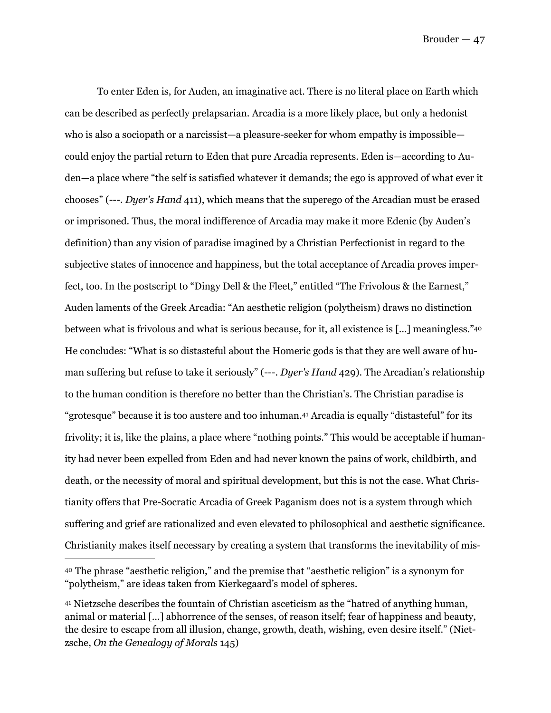<span id="page-47-2"></span> To enter Eden is, for Auden, an imaginative act. There is no literal place on Earth which can be described as perfectly prelapsarian. Arcadia is a more likely place, but only a hedonist who is also a sociopath or a narcissist—a pleasure-seeker for whom empathy is impossible could enjoy the partial return to Eden that pure Arcadia represents. Eden is—according to Auden—a place where "the self is satisfied whatever it demands; the ego is approved of what ever it chooses" (---. *Dyer's Hand* 411), which means that the superego of the Arcadian must be erased or imprisoned. Thus, the moral indifference of Arcadia may make it more Edenic (by Auden's definition) than any vision of paradise imagined by a Christian Perfectionist in regard to the subjective states of innocence and happiness, but the total acceptance of Arcadia proves imperfect, too. In the postscript to "Dingy Dell & the Fleet," entitled "The Frivolous & the Earnest," Auden laments of the Greek Arcadia: "An aesthetic religion (polytheism) draws no distinction between what is frivolous and what is serious because, for it, all existence is […] meaningless."[40](#page-47-0) He concludes: "What is so distasteful about the Homeric gods is that they are well aware of human suffering but refuse to take it seriously" (---. *Dyer's Hand* 429). The Arcadian's relationship to the human condition is therefore no better than the Christian's. The Christian paradise is "grotesque" because it is too austere and too inhuman.<sup>[41](#page-47-1)</sup> Arcadia is equally "distasteful" for its frivolity; it is, like the plains, a place where "nothing points." This would be acceptable if humanity had never been expelled from Eden and had never known the pains of work, childbirth, and death, or the necessity of moral and spiritual development, but this is not the case. What Christianity offers that Pre-Socratic Arcadia of Greek Paganism does not is a system through which suffering and grief are rationalized and even elevated to philosophical and aesthetic significance. Christianity makes itself necessary by creating a system that transforms the inevitability of mis-

<span id="page-47-3"></span><span id="page-47-0"></span>The phrase "aesthetic religion," and the premise that "aesthetic religion" is a synonym for [40](#page-47-2) "polytheism," are ideas taken from Kierkegaard's model of spheres.

<span id="page-47-1"></span>Nietzsche describes the fountain of Christian asceticism as the "hatred of anything human, [41](#page-47-3) animal or material […] abhorrence of the senses, of reason itself; fear of happiness and beauty, the desire to escape from all illusion, change, growth, death, wishing, even desire itself." (Nietzsche, *On the Genealogy of Morals* 145)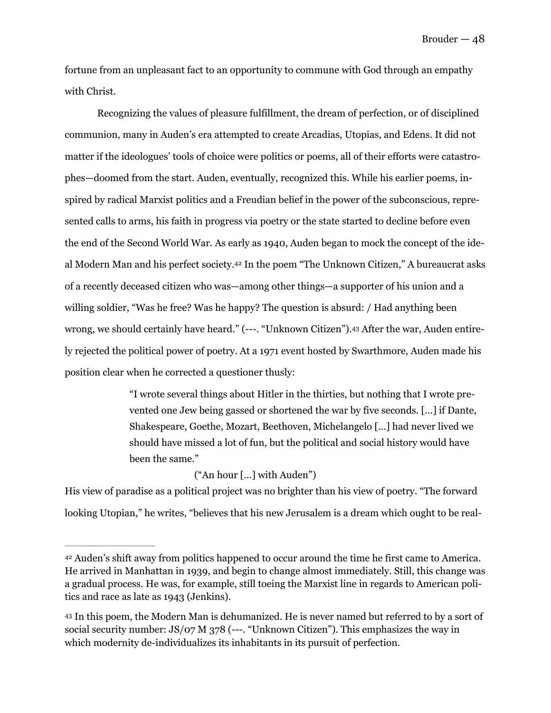fortune from an unpleasant fact to an opportunity to commune with God through an empathy with Christ.

 Recognizing the values of pleasure fulfillment, the dream of perfection, or of disciplined communion, many in Auden's era attempted to create Arcadias, Utopias, and Edens. It did not matter if the ideologues' tools of choice were politics or poems, all of their efforts were catastrophes—doomed from the start. Auden, eventually, recognized this. While his earlier poems, inspired by radical Marxist politics and a Freudian belief in the power of the subconscious, represented calls to arms, his faith in progress via poetry or the state started to decline before even the end of the Second World War. As early as 1940, Auden began to mock the concept of the ide-alModern Man and his perfect society.<sup>[42](#page-48-0)</sup> In the poem "The Unknown Citizen," A bureaucrat asks of a recently deceased citizen who was—among other things—a supporter of his union and a willing soldier, "Was he free? Was he happy? The question is absurd: / Had anything been wrong, we should certainly have heard." (---. "Unknown Citizen")[.43](#page-48-1) After the war, Auden entirely rejected the political power of poetry. At a 1971 event hosted by Swarthmore, Auden made his position clear when he corrected a questioner thusly:

> <span id="page-48-2"></span>"I wrote several things about Hitler in the thirties, but nothing that I wrote prevented one Jew being gassed or shortened the war by five seconds. […] if Dante, Shakespeare, Goethe, Mozart, Beethoven, Michelangelo […] had never lived we should have missed a lot of fun, but the political and social history would have been the same."

> > <span id="page-48-3"></span>("An hour […] with Auden")

His view of paradise as a political project was no brighter than his view of poetry. "The forward looking Utopian," he writes, "believes that his new Jerusalem is a dream which ought to be real-

<span id="page-48-0"></span>Auden's shift away from politics happened to occur around the time he first came to America. [42](#page-48-2) He arrived in Manhattan in 1939, and begin to change almost immediately. Still, this change was a gradual process. He was, for example, still toeing the Marxist line in regards to American politics and race as late as 1943 (Jenkins).

<span id="page-48-1"></span><sup>&</sup>lt;sup>[43](#page-48-3)</sup> In this poem, the Modern Man is dehumanized. He is never named but referred to by a sort of social security number: JS/07 M 378 (---. "Unknown Citizen"). This emphasizes the way in which modernity de-individualizes its inhabitants in its pursuit of perfection.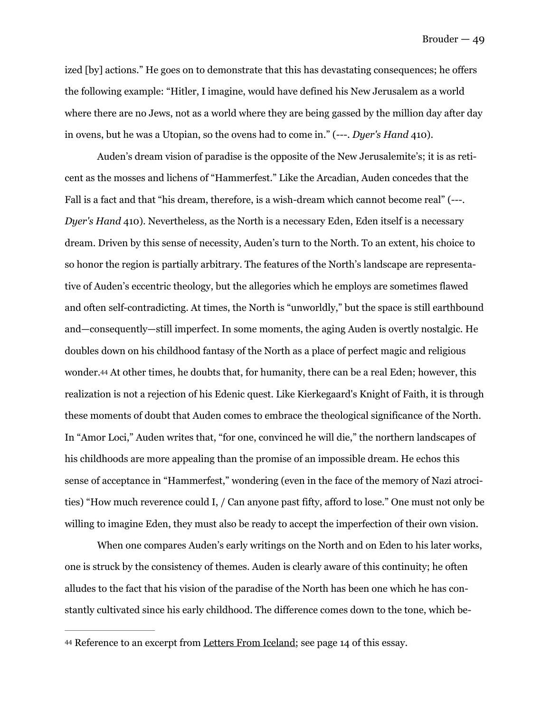ized [by] actions." He goes on to demonstrate that this has devastating consequences; he offers the following example: "Hitler, I imagine, would have defined his New Jerusalem as a world where there are no Jews, not as a world where they are being gassed by the million day after day in ovens, but he was a Utopian, so the ovens had to come in." (---. *Dyer's Hand* 410).

 Auden's dream vision of paradise is the opposite of the New Jerusalemite's; it is as reticent as the mosses and lichens of "Hammerfest." Like the Arcadian, Auden concedes that the Fall is a fact and that "his dream, therefore, is a wish-dream which cannot become real" (---. *Dyer's Hand* 410). Nevertheless, as the North is a necessary Eden, Eden itself is a necessary dream. Driven by this sense of necessity, Auden's turn to the North. To an extent, his choice to so honor the region is partially arbitrary. The features of the North's landscape are representative of Auden's eccentric theology, but the allegories which he employs are sometimes flawed and often self-contradicting. At times, the North is "unworldly," but the space is still earthbound and—consequently—still imperfect. In some moments, the aging Auden is overtly nostalgic. He doubles down on his childhood fantasy of the North as a place of perfect magic and religious wonder.[44](#page-49-0) At other times, he doubts that, for humanity, there can be a real Eden; however, this realization is not a rejection of his Edenic quest. Like Kierkegaard's Knight of Faith, it is through these moments of doubt that Auden comes to embrace the theological significance of the North. In "Amor Loci," Auden writes that, "for one, convinced he will die," the northern landscapes of his childhoods are more appealing than the promise of an impossible dream. He echos this sense of acceptance in "Hammerfest," wondering (even in the face of the memory of Nazi atrocities) "How much reverence could I, / Can anyone past fifty, afford to lose." One must not only be willing to imagine Eden, they must also be ready to accept the imperfection of their own vision.

<span id="page-49-1"></span> When one compares Auden's early writings on the North and on Eden to his later works, one is struck by the consistency of themes. Auden is clearly aware of this continuity; he often alludes to the fact that his vision of the paradise of the North has been one which he has constantly cultivated since his early childhood. The difference comes down to the tone, which be-

<span id="page-49-0"></span>[<sup>44</sup>](#page-49-1) Reference to an excerpt from Letters From Iceland; see page 14 of this essay.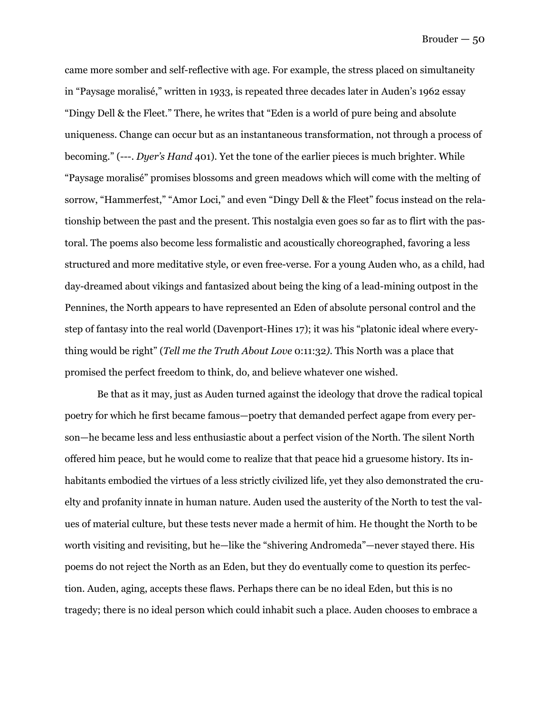came more somber and self-reflective with age. For example, the stress placed on simultaneity in "Paysage moralisé," written in 1933, is repeated three decades later in Auden's 1962 essay "Dingy Dell & the Fleet." There, he writes that "Eden is a world of pure being and absolute uniqueness. Change can occur but as an instantaneous transformation, not through a process of becoming." (---. *Dyer's Hand* 401). Yet the tone of the earlier pieces is much brighter. While "Paysage moralisé" promises blossoms and green meadows which will come with the melting of sorrow, "Hammerfest," "Amor Loci," and even "Dingy Dell & the Fleet" focus instead on the relationship between the past and the present. This nostalgia even goes so far as to flirt with the pastoral. The poems also become less formalistic and acoustically choreographed, favoring a less structured and more meditative style, or even free-verse. For a young Auden who, as a child, had day-dreamed about vikings and fantasized about being the king of a lead-mining outpost in the Pennines, the North appears to have represented an Eden of absolute personal control and the step of fantasy into the real world (Davenport-Hines 17); it was his "platonic ideal where everything would be right" (*Tell me the Truth About Love* 0:11:32*)*. This North was a place that promised the perfect freedom to think, do, and believe whatever one wished.

 Be that as it may, just as Auden turned against the ideology that drove the radical topical poetry for which he first became famous—poetry that demanded perfect agape from every person—he became less and less enthusiastic about a perfect vision of the North. The silent North offered him peace, but he would come to realize that that peace hid a gruesome history. Its inhabitants embodied the virtues of a less strictly civilized life, yet they also demonstrated the cruelty and profanity innate in human nature. Auden used the austerity of the North to test the values of material culture, but these tests never made a hermit of him. He thought the North to be worth visiting and revisiting, but he—like the "shivering Andromeda"—never stayed there. His poems do not reject the North as an Eden, but they do eventually come to question its perfection. Auden, aging, accepts these flaws. Perhaps there can be no ideal Eden, but this is no tragedy; there is no ideal person which could inhabit such a place. Auden chooses to embrace a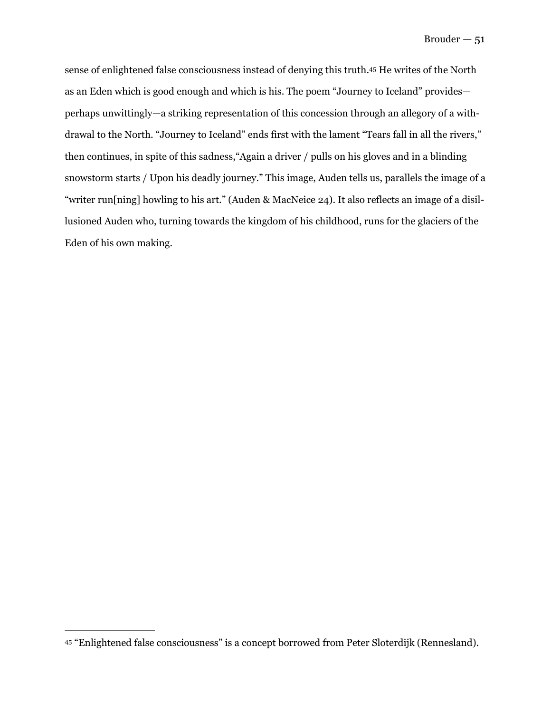<span id="page-51-1"></span>sense of enlightened false consciousness instead of denying this truth[.](#page-51-0)<sup>[45](#page-51-0)</sup> He writes of the North as an Eden which is good enough and which is his. The poem "Journey to Iceland" provides perhaps unwittingly—a striking representation of this concession through an allegory of a withdrawal to the North. "Journey to Iceland" ends first with the lament "Tears fall in all the rivers," then continues, in spite of this sadness,"Again a driver / pulls on his gloves and in a blinding snowstorm starts / Upon his deadly journey." This image, Auden tells us, parallels the image of a "writer run[ning] howling to his art." (Auden & MacNeice 24). It also reflects an image of a disillusioned Auden who, turning towards the kingdom of his childhood, runs for the glaciers of the Eden of his own making.

<span id="page-51-0"></span>[<sup>45</sup>](#page-51-1) "Enlightened false consciousness" is a concept borrowed from Peter Sloterdijk (Rennesland).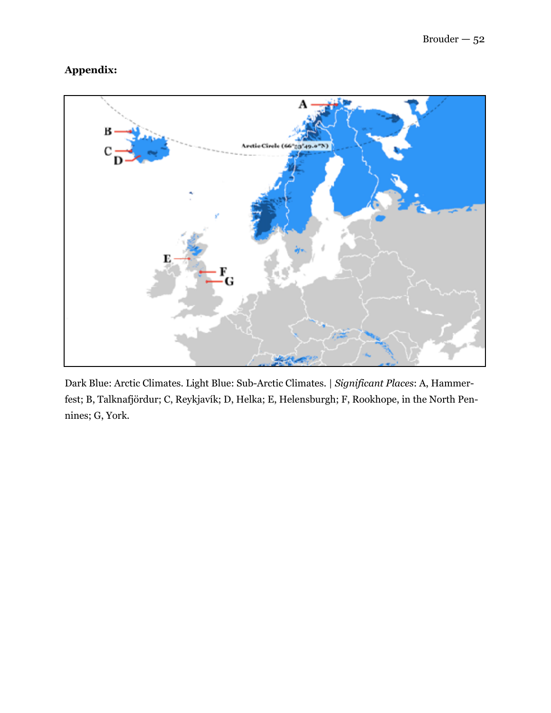### **Appendix:**



Dark Blue: Arctic Climates. Light Blue: Sub-Arctic Climates. | *Significant Places*: A, Hammerfest; B, Talknafjördur; C, Reykjavík; D, Helka; E, Helensburgh; F, Rookhope, in the North Pennines; G, York.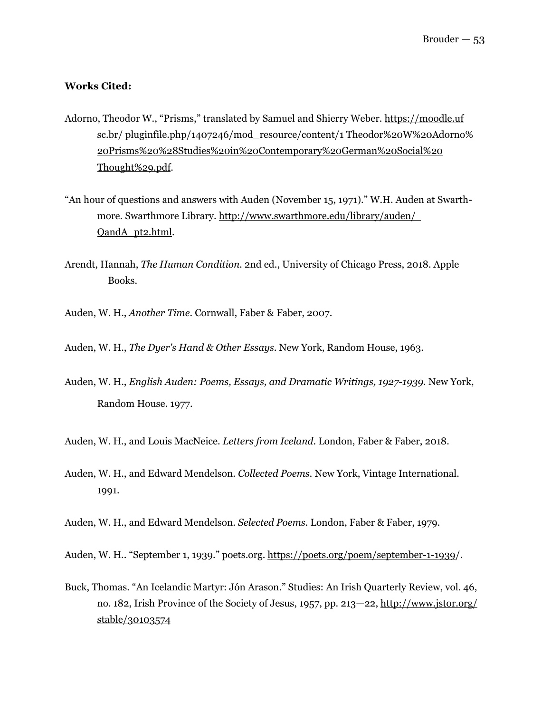#### **Works Cited:**

- Adorno, Theodor W., "Prisms," translated by Samuel and Shierry Weber. https://moodle.uf sc.br/ pluginfile.php/1407246/mod\_resource/content/1 Theodor%20W%20Adorno% 20Prisms%20%28Studies%20in%20Contemporary%20German%20Social%20 Thought%29.pdf.
- "An hour of questions and answers with Auden (November 15, 1971)." W.H. Auden at Swarth more. Swarthmore Library. http://www.swarthmore.edu/library/auden/ QandA\_pt2.html.
- Arendt, Hannah, *The Human Condition.* 2nd ed., University of Chicago Press, 2018. Apple Books.
- Auden, W. H., *Another Time*. Cornwall, Faber & Faber, 2007.
- Auden, W. H., *The Dyer's Hand & Other Essays*. New York, Random House, 1963.
- Auden, W. H., *English Auden: Poems, Essays, and Dramatic Writings, 1927-1939.* New York, Random House. 1977.
- Auden, W. H., and Louis MacNeice. *Letters from Iceland*. London, Faber & Faber, 2018.
- Auden, W. H., and Edward Mendelson. *Collected Poems.* New York, Vintage International. 1991.
- Auden, W. H., and Edward Mendelson. *Selected Poems*. London, Faber & Faber, 1979.
- Auden, W. H.. "September 1, 1939." [poets.org.](http://poets.org) <https://poets.org/poem/september-1-1939>/.
- Buck, Thomas. "An Icelandic Martyr: Jón Arason." Studies: An Irish Quarterly Review, vol. 46, no. 182, Irish Province of the Society of Jesus, 1957, pp. 213—22,<http://www.jstor.org/> stable/30103574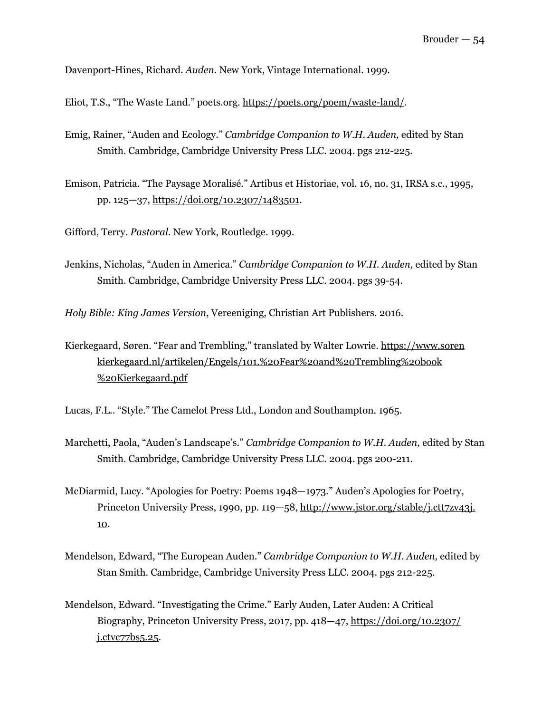Davenport-Hines, Richard. *Auden.* New York, Vintage International. 1999.

Eliot, T.S., "The Waste Land." poets.org. https://poets.org/poem/waste-land/.

- Emig, Rainer, "Auden and Ecology." *Cambridge Companion to W.H. Auden,* edited by Stan Smith. Cambridge, Cambridge University Press LLC. 2004. pgs 212-225.
- Emison, Patricia. "The Paysage Moralisé." Artibus et Historiae, vol. 16, no. 31, IRSA s.c., 1995, pp. 125—37, [https://doi.org/10.2307/1483501.](https://doi.org/10.2307/1483501)

Gifford, Terry. *Pastoral.* New York, Routledge. 1999.

Jenkins, Nicholas, "Auden in America." *Cambridge Companion to W.H. Auden,* edited by Stan Smith. Cambridge, Cambridge University Press LLC. 2004. pgs 39-54.

*Holy Bible: King James Version*, Vereeniging, Christian Art Publishers. 2016.

Kierkegaard, Søren. "Fear and Trembling," translated by Walter Lowrie.<https://www.soren> [kierkegaard.nl/artikelen/Engels/101.%20Fear%20and%20Trembling%20book](http://kierkegaard.nl/artikelen/Engels/101.%25252520Fear%25252520and%25252520Trembling%25252520book) %20Kierkegaard.pdf

Lucas, F.L.. "Style." The Camelot Press Ltd., London and Southampton. 1965.

- Marchetti, Paola, "Auden's Landscape's." *Cambridge Companion to W.H. Auden,* edited by Stan Smith. Cambridge, Cambridge University Press LLC. 2004. pgs 200-211.
- McDiarmid, Lucy. "Apologies for Poetry: Poems 1948—1973." Auden's Apologies for Poetry, Princeton University Press, 1990, pp. 119—58, http://www.jstor.org/stable/j.ctt7zv43j. 10.
- Mendelson, Edward, "The European Auden." *Cambridge Companion to W.H. Auden,* edited by Stan Smith. Cambridge, Cambridge University Press LLC. 2004. pgs 212-225.
- Mendelson, Edward. "Investigating the Crime." Early Auden, Later Auden: A Critical Biography, Princeton University Press, 2017, pp. 418—47, https://doi.org/10.2307/ j.ctvc77bs5.25.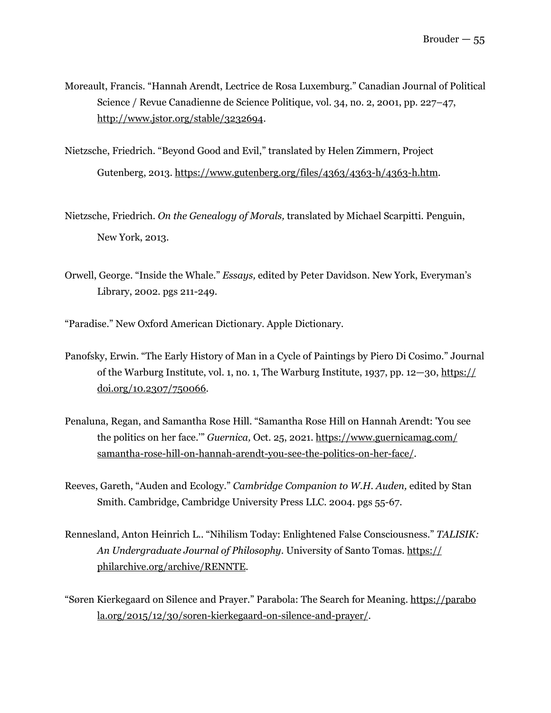- Moreault, Francis. "Hannah Arendt, Lectrice de Rosa Luxemburg." Canadian Journal of Political Science / Revue Canadienne de Science Politique, vol. 34, no. 2, 2001, pp. 227–47, http://www.jstor.org/stable/3232694.
- Nietzsche, Friedrich. "Beyond Good and Evil," translated by Helen Zimmern, Project Gutenberg, 2013. [https://www.gutenberg.org/files/4363/4363-h/4363-h.htm.](https://www.gutenberg.org/files/4363/4363-h/4363-h.htm)
- Nietzsche, Friedrich. *On the Genealogy of Morals,* translated by Michael Scarpitti. Penguin, New York, 2013.
- Orwell, George. "Inside the Whale." *Essays,* edited by Peter Davidson. New York, Everyman's Library, 2002. pgs 211-249.
- "Paradise." New Oxford American Dictionary. Apple Dictionary.
- Panofsky, Erwin. "The Early History of Man in a Cycle of Paintings by Piero Di Cosimo." Journal of the Warburg Institute, vol. 1, no. 1, The Warburg Institute, 1937, pp. 12—30, https:// doi.org/10.2307/750066.
- Penaluna, Regan, and Samantha Rose Hill. "Samantha Rose Hill on Hannah Arendt: 'You see the politics on her face.'" *Guernica,* Oct. 25, 2021. https://www.guernicamag.com/ samantha-rose-hill-on-hannah-arendt-you-see-the-politics-on-her-face/.
- Reeves, Gareth, "Auden and Ecology." *Cambridge Companion to W.H. Auden,* edited by Stan Smith. Cambridge, Cambridge University Press LLC. 2004. pgs 55-67.
- Rennesland, Anton Heinrich L.. "Nihilism Today: Enlightened False Consciousness." *TALISIK: An Undergraduate Journal of Philosophy*. University of Santo Tomas. https:// philarchive.org/archive/RENNTE.
- "Søren Kierkegaard on Silence and Prayer." Parabola: The Search for Meaning. https://parabo la.org/2015/12/30/soren-kierkegaard-on-silence-and-prayer/.